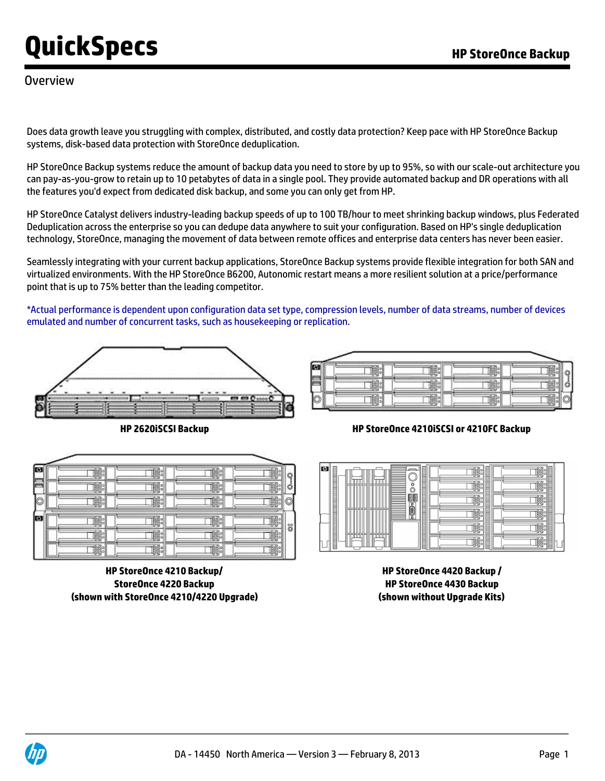### **Overview**

Does data growth leave you struggling with complex, distributed, and costly data protection? Keep pace with HP StoreOnce Backup systems, disk-based data protection with StoreOnce deduplication.

HP StoreOnce Backup systems reduce the amount of backup data you need to store by up to 95%, so with our scale-out architecture you can pay-as-you-grow to retain up to 10 petabytes of data in a single pool. They provide automated backup and DR operations with all the features you'd expect from dedicated disk backup, and some you can only get from HP.

HP StoreOnce Catalyst delivers industry-leading backup speeds of up to 100 TB/hour to meet shrinking backup windows, plus Federated Deduplication across the enterprise so you can dedupe data anywhere to suit your configuration. Based on HP's single deduplication technology, StoreOnce, managing the movement of data between remote offices and enterprise data centers has never been easier.

Seamlessly integrating with your current backup applications, StoreOnce Backup systems provide flexible integration for both SAN and virtualized environments. With the HP StoreOnce B6200, Autonomic restart means a more resilient solution at a price/performance point that is up to 75% better than the leading competitor.

\*Actual performance is dependent upon configuration data set type, compression levels, number of data streams, number of devices emulated and number of concurrent tasks, such as housekeeping or replication.



m 工職 工餘 工職 工職計 工総 □闇: ∏≋ 工職 工場 c 工場。 工際 k. 口路 口器 ∏≋ 工業 នី 工職 口鰡 口腦 口藤 工職 口懸 工総 ∏≋

**HP StoreOnce 4210 Backup/ StoreOnce 4220 Backup (shown with StoreOnce 4210/4220 Upgrade)**

| п. |  |  |
|----|--|--|
|    |  |  |
| ⊶  |  |  |

**HP 2620iSCSI Backup HP StoreOnce 4210iSCSI or 4210FC Backup**



**HP StoreOnce 4420 Backup / HP StoreOnce 4430 Backup (shown without Upgrade Kits)**

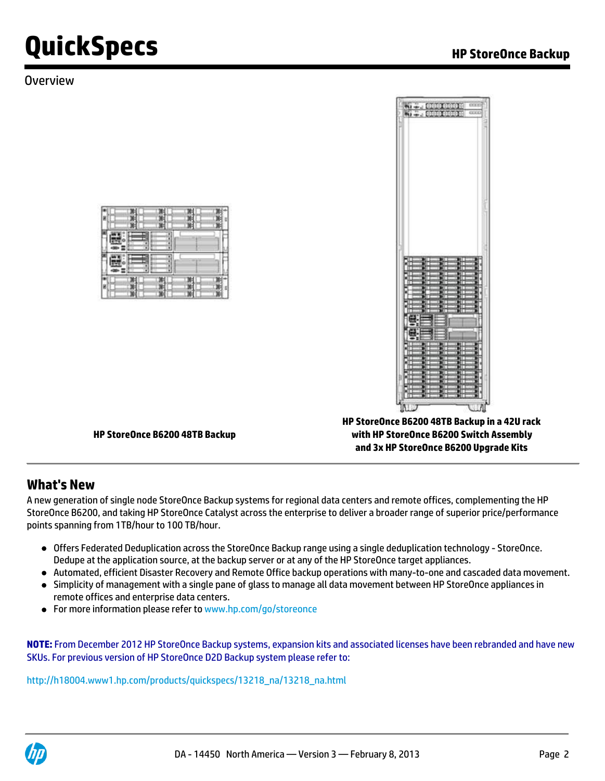### **Overview**





**HP StoreOnce B6200 48TB Backup**

**HP StoreOnce B6200 48TB Backup in a 42U rack with HP StoreOnce B6200 Switch Assembly and 3x HP StoreOnce B6200 Upgrade Kits**

### **What's New**

A new generation of single node StoreOnce Backup systems for regional data centers and remote offices, complementing the HP StoreOnce B6200, and taking HP StoreOnce Catalyst across the enterprise to deliver a broader range of superior price/performance points spanning from 1TB/hour to 100 TB/hour.

- Offers Federated Deduplication across the StoreOnce Backup range using a single deduplication technology StoreOnce. Dedupe at the application source, at the backup server or at any of the HP StoreOnce target appliances.
- Automated, efficient Disaster Recovery and Remote Office backup operations with many-to-one and cascaded data movement.
- Simplicity of management with a single pane of glass to manage all data movement between HP StoreOnce appliances in remote offices and enterprise data centers.
- For more information please refer to [www.hp.com/go/storeonce](http:%5C%5Cwww.hp.com/go/storeonce)

**NOTE:** From December 2012 HP StoreOnce Backup systems, expansion kits and associated licenses have been rebranded and have new SKUs. For previous version of HP StoreOnce D2D Backup system please refer to:

[http://h18004.www1.hp.com/products/quickspecs/13218\\_na/13218\\_na.html](http://h18004.www1.hp.com/products/quickspecs/13218_na/13218_na.html)

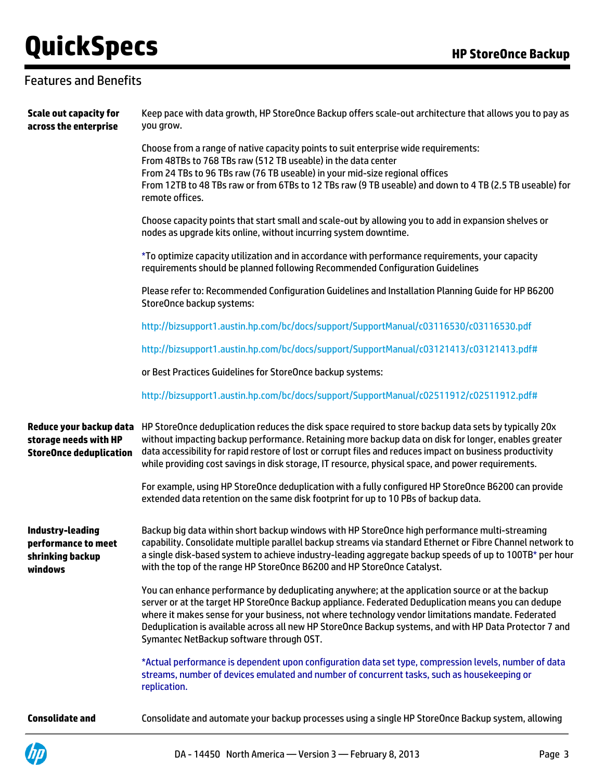## Features and Benefits

| <b>Scale out capacity for</b><br>across the enterprise                 | Keep pace with data growth, HP StoreOnce Backup offers scale-out architecture that allows you to pay as<br>you grow.                                                                                                                                                                                                                                                                                                                                                  |
|------------------------------------------------------------------------|-----------------------------------------------------------------------------------------------------------------------------------------------------------------------------------------------------------------------------------------------------------------------------------------------------------------------------------------------------------------------------------------------------------------------------------------------------------------------|
|                                                                        | Choose from a range of native capacity points to suit enterprise wide requirements:<br>From 48TBs to 768 TBs raw (512 TB useable) in the data center<br>From 24 TBs to 96 TBs raw (76 TB useable) in your mid-size regional offices<br>From 12TB to 48 TBs raw or from 6TBs to 12 TBs raw (9 TB useable) and down to 4 TB (2.5 TB useable) for<br>remote offices.                                                                                                     |
|                                                                        | Choose capacity points that start small and scale-out by allowing you to add in expansion shelves or<br>nodes as upgrade kits online, without incurring system downtime.                                                                                                                                                                                                                                                                                              |
|                                                                        | *To optimize capacity utilization and in accordance with performance requirements, your capacity<br>requirements should be planned following Recommended Configuration Guidelines                                                                                                                                                                                                                                                                                     |
|                                                                        | Please refer to: Recommended Configuration Guidelines and Installation Planning Guide for HP B6200<br>StoreOnce backup systems:                                                                                                                                                                                                                                                                                                                                       |
|                                                                        | http://bizsupport1.austin.hp.com/bc/docs/support/SupportManual/c03116530/c03116530.pdf                                                                                                                                                                                                                                                                                                                                                                                |
|                                                                        | http://bizsupport1.austin.hp.com/bc/docs/support/SupportManual/c03121413/c03121413.pdf#                                                                                                                                                                                                                                                                                                                                                                               |
|                                                                        | or Best Practices Guidelines for StoreOnce backup systems:                                                                                                                                                                                                                                                                                                                                                                                                            |
|                                                                        | http://bizsupport1.austin.hp.com/bc/docs/support/SupportManual/c02511912/c02511912.pdf#                                                                                                                                                                                                                                                                                                                                                                               |
| storage needs with HP<br><b>StoreOnce deduplication</b>                | Reduce your backup data HP StoreOnce deduplication reduces the disk space required to store backup data sets by typically 20x<br>without impacting backup performance. Retaining more backup data on disk for longer, enables greater<br>data accessibility for rapid restore of lost or corrupt files and reduces impact on business productivity<br>while providing cost savings in disk storage, IT resource, physical space, and power requirements.              |
|                                                                        | For example, using HP StoreOnce deduplication with a fully configured HP StoreOnce B6200 can provide<br>extended data retention on the same disk footprint for up to 10 PBs of backup data.                                                                                                                                                                                                                                                                           |
| Industry-leading<br>performance to meet<br>shrinking backup<br>windows | Backup big data within short backup windows with HP StoreOnce high performance multi-streaming<br>capability. Consolidate multiple parallel backup streams via standard Ethernet or Fibre Channel network to<br>a single disk-based system to achieve industry-leading aggregate backup speeds of up to 100TB* per hour<br>with the top of the range HP StoreOnce B6200 and HP StoreOnce Catalyst.                                                                    |
|                                                                        | You can enhance performance by deduplicating anywhere; at the application source or at the backup<br>server or at the target HP StoreOnce Backup appliance. Federated Deduplication means you can dedupe<br>where it makes sense for your business, not where technology vendor limitations mandate. Federated<br>Deduplication is available across all new HP StoreOnce Backup systems, and with HP Data Protector 7 and<br>Symantec NetBackup software through OST. |
|                                                                        | *Actual performance is dependent upon configuration data set type, compression levels, number of data<br>streams, number of devices emulated and number of concurrent tasks, such as housekeeping or<br>replication.                                                                                                                                                                                                                                                  |
| <b>Consolidate and</b>                                                 | Consolidate and automate your backup processes using a single HP StoreOnce Backup system, allowing                                                                                                                                                                                                                                                                                                                                                                    |

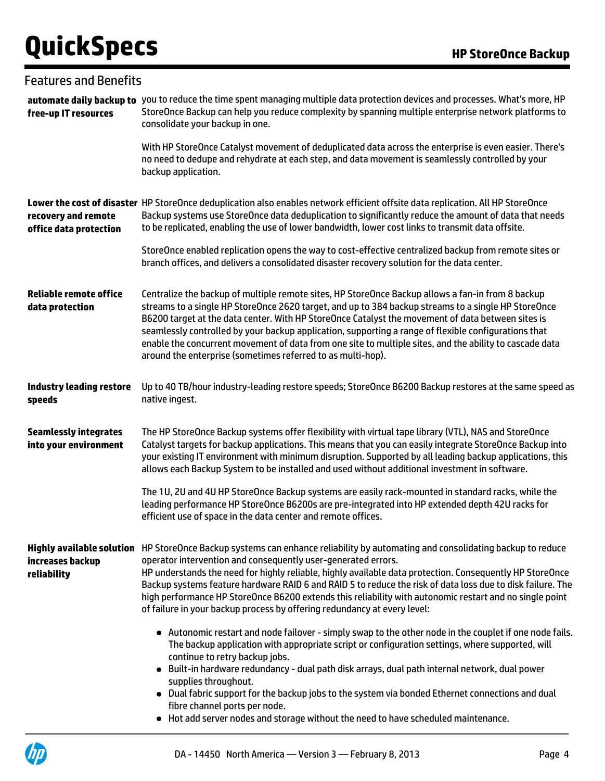| <b>Features and Benefits</b>                          |                                                                                                                                                                                                                                                                                                                                                                                                                                                                                                                                                                                                                  |
|-------------------------------------------------------|------------------------------------------------------------------------------------------------------------------------------------------------------------------------------------------------------------------------------------------------------------------------------------------------------------------------------------------------------------------------------------------------------------------------------------------------------------------------------------------------------------------------------------------------------------------------------------------------------------------|
| free-up IT resources                                  | automate daily backup to you to reduce the time spent managing multiple data protection devices and processes. What's more, HP<br>StoreOnce Backup can help you reduce complexity by spanning multiple enterprise network platforms to<br>consolidate your backup in one.                                                                                                                                                                                                                                                                                                                                        |
|                                                       | With HP StoreOnce Catalyst movement of deduplicated data across the enterprise is even easier. There's<br>no need to dedupe and rehydrate at each step, and data movement is seamlessly controlled by your<br>backup application.                                                                                                                                                                                                                                                                                                                                                                                |
| recovery and remote<br>office data protection         | Lower the cost of disaster HP StoreOnce deduplication also enables network efficient offsite data replication. All HP StoreOnce<br>Backup systems use StoreOnce data deduplication to significantly reduce the amount of data that needs<br>to be replicated, enabling the use of lower bandwidth, lower cost links to transmit data offsite.                                                                                                                                                                                                                                                                    |
|                                                       | StoreOnce enabled replication opens the way to cost-effective centralized backup from remote sites or<br>branch offices, and delivers a consolidated disaster recovery solution for the data center.                                                                                                                                                                                                                                                                                                                                                                                                             |
| <b>Reliable remote office</b><br>data protection      | Centralize the backup of multiple remote sites, HP StoreOnce Backup allows a fan-in from 8 backup<br>streams to a single HP StoreOnce 2620 target, and up to 384 backup streams to a single HP StoreOnce<br>B6200 target at the data center. With HP StoreOnce Catalyst the movement of data between sites is<br>seamlessly controlled by your backup application, supporting a range of flexible configurations that<br>enable the concurrent movement of data from one site to multiple sites, and the ability to cascade data<br>around the enterprise (sometimes referred to as multi-hop).                  |
| <b>Industry leading restore</b><br>speeds             | Up to 40 TB/hour industry-leading restore speeds; StoreOnce B6200 Backup restores at the same speed as<br>native ingest.                                                                                                                                                                                                                                                                                                                                                                                                                                                                                         |
| <b>Seamlessly integrates</b><br>into your environment | The HP StoreOnce Backup systems offer flexibility with virtual tape library (VTL), NAS and StoreOnce<br>Catalyst targets for backup applications. This means that you can easily integrate StoreOnce Backup into<br>your existing IT environment with minimum disruption. Supported by all leading backup applications, this<br>allows each Backup System to be installed and used without additional investment in software.                                                                                                                                                                                    |
|                                                       | The 1U, 2U and 4U HP StoreOnce Backup systems are easily rack-mounted in standard racks, while the<br>leading performance HP StoreOnce B6200s are pre-integrated into HP extended depth 42U racks for<br>efficient use of space in the data center and remote offices.                                                                                                                                                                                                                                                                                                                                           |
| increases backup<br>reliability                       | Highly available solution HP StoreOnce Backup systems can enhance reliability by automating and consolidating backup to reduce<br>operator intervention and consequently user-generated errors.<br>HP understands the need for highly reliable, highly available data protection. Consequently HP StoreOnce<br>Backup systems feature hardware RAID 6 and RAID 5 to reduce the risk of data loss due to disk failure. The<br>high performance HP StoreOnce B6200 extends this reliability with autonomic restart and no single point<br>of failure in your backup process by offering redundancy at every level: |
|                                                       | • Autonomic restart and node failover - simply swap to the other node in the couplet if one node fails.<br>The backup application with appropriate script or configuration settings, where supported, will<br>continue to retry backup jobs.<br>Built-in hardware redundancy - dual path disk arrays, dual path internal network, dual power<br>supplies throughout.<br>• Dual fabric support for the backup jobs to the system via bonded Ethernet connections and dual<br>fibre channel ports per node.                                                                                                        |

Hot add server nodes and storage without the need to have scheduled maintenance.

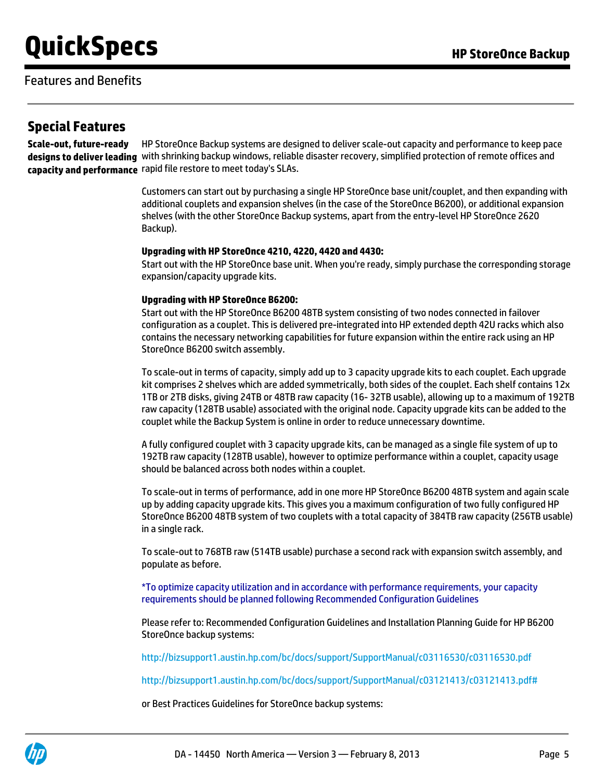### Features and Benefits

### **Special Features**

**Scale-out, future-ready designs to deliver leading** with shrinking backup windows, reliable disaster recovery, simplified protection of remote offices and **capacity and performance** rapid file restore to meet today's SLAs. HP StoreOnce Backup systems are designed to deliver scale-out capacity and performance to keep pace

> Customers can start out by purchasing a single HP StoreOnce base unit/couplet, and then expanding with additional couplets and expansion shelves (in the case of the StoreOnce B6200), or additional expansion shelves (with the other StoreOnce Backup systems, apart from the entry-level HP StoreOnce 2620 Backup).

#### **Upgrading with HP StoreOnce 4210, 4220, 4420 and 4430:**

Start out with the HP StoreOnce base unit. When you're ready, simply purchase the corresponding storage expansion/capacity upgrade kits.

#### **Upgrading with HP StoreOnce B6200:**

Start out with the HP StoreOnce B6200 48TB system consisting of two nodes connected in failover configuration as a couplet. This is delivered pre-integrated into HP extended depth 42U racks which also contains the necessary networking capabilities for future expansion within the entire rack using an HP StoreOnce B6200 switch assembly.

To scale-out in terms of capacity, simply add up to 3 capacity upgrade kits to each couplet. Each upgrade kit comprises 2 shelves which are added symmetrically, both sides of the couplet. Each shelf contains 12x 1TB or 2TB disks, giving 24TB or 48TB raw capacity (16- 32TB usable), allowing up to a maximum of 192TB raw capacity (128TB usable) associated with the original node. Capacity upgrade kits can be added to the couplet while the Backup System is online in order to reduce unnecessary downtime.

A fully configured couplet with 3 capacity upgrade kits, can be managed as a single file system of up to 192TB raw capacity (128TB usable), however to optimize performance within a couplet, capacity usage should be balanced across both nodes within a couplet.

To scale-out in terms of performance, add in one more HP StoreOnce B6200 48TB system and again scale up by adding capacity upgrade kits. This gives you a maximum configuration of two fully configured HP StoreOnce B6200 48TB system of two couplets with a total capacity of 384TB raw capacity (256TB usable) in a single rack.

To scale-out to 768TB raw (514TB usable) purchase a second rack with expansion switch assembly, and populate as before.

\*To optimize capacity utilization and in accordance with performance requirements, your capacity requirements should be planned following Recommended Configuration Guidelines

Please refer to: Recommended Configuration Guidelines and Installation Planning Guide for HP B6200 StoreOnce backup systems:

<http://bizsupport1.austin.hp.com/bc/docs/support/SupportManual/c03116530/c03116530.pdf>

<http://bizsupport1.austin.hp.com/bc/docs/support/SupportManual/c03121413/c03121413.pdf#>

or Best Practices Guidelines for StoreOnce backup systems:

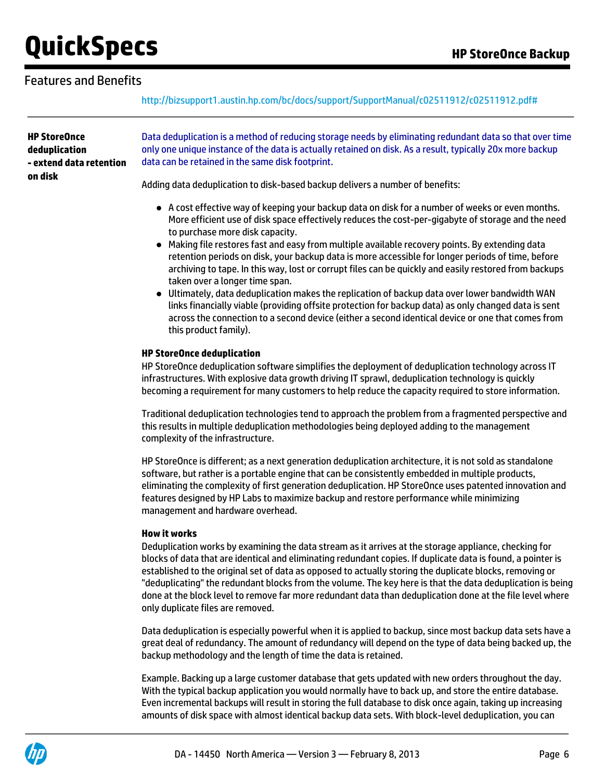### Features and Benefits

<http://bizsupport1.austin.hp.com/bc/docs/support/SupportManual/c02511912/c02511912.pdf#>

**HP StoreOnce deduplication - extend data retention on disk**

Data deduplication is a method of reducing storage needs by eliminating redundant data so that over time only one unique instance of the data is actually retained on disk. As a result, typically 20x more backup data can be retained in the same disk footprint.

Adding data deduplication to disk-based backup delivers a number of benefits:

- A cost effective way of keeping your backup data on disk for a number of weeks or even months. More efficient use of disk space effectively reduces the cost-per-gigabyte of storage and the need to purchase more disk capacity.
- Making file restores fast and easy from multiple available recovery points. By extending data retention periods on disk, your backup data is more accessible for longer periods of time, before archiving to tape. In this way, lost or corrupt files can be quickly and easily restored from backups taken over a longer time span.
- Ultimately, data deduplication makes the replication of backup data over lower bandwidth WAN links financially viable (providing offsite protection for backup data) as only changed data is sent across the connection to a second device (either a second identical device or one that comes from this product family).

#### **HP StoreOnce deduplication**

HP StoreOnce deduplication software simplifies the deployment of deduplication technology across IT infrastructures. With explosive data growth driving IT sprawl, deduplication technology is quickly becoming a requirement for many customers to help reduce the capacity required to store information.

Traditional deduplication technologies tend to approach the problem from a fragmented perspective and this results in multiple deduplication methodologies being deployed adding to the management complexity of the infrastructure.

HP StoreOnce is different; as a next generation deduplication architecture, it is not sold as standalone software, but rather is a portable engine that can be consistently embedded in multiple products, eliminating the complexity of first generation deduplication. HP StoreOnce uses patented innovation and features designed by HP Labs to maximize backup and restore performance while minimizing management and hardware overhead.

#### **How it works**

Deduplication works by examining the data stream as it arrives at the storage appliance, checking for blocks of data that are identical and eliminating redundant copies. If duplicate data is found, a pointer is established to the original set of data as opposed to actually storing the duplicate blocks, removing or "deduplicating" the redundant blocks from the volume. The key here is that the data deduplication is being done at the block level to remove far more redundant data than deduplication done at the file level where only duplicate files are removed.

Data deduplication is especially powerful when it is applied to backup, since most backup data sets have a great deal of redundancy. The amount of redundancy will depend on the type of data being backed up, the backup methodology and the length of time the data is retained.

Example. Backing up a large customer database that gets updated with new orders throughout the day. With the typical backup application you would normally have to back up, and store the entire database. Even incremental backups will result in storing the full database to disk once again, taking up increasing amounts of disk space with almost identical backup data sets. With block-level deduplication, you can

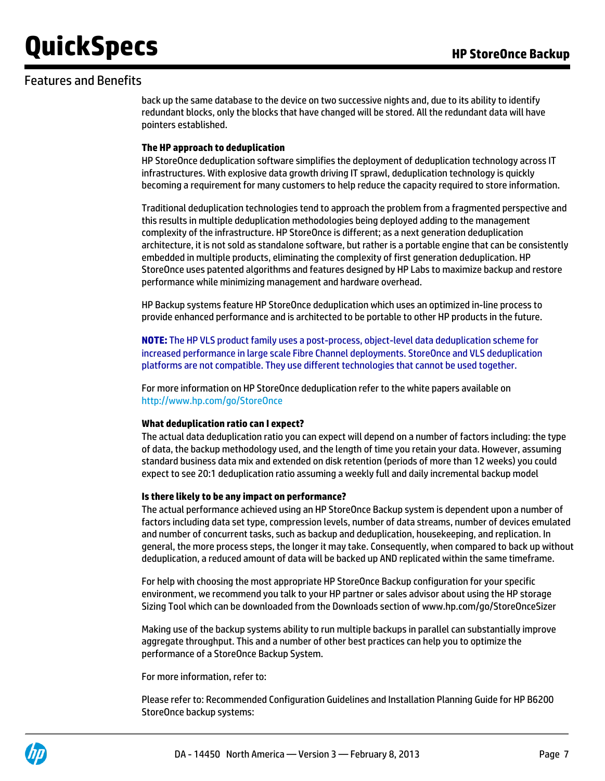### Features and Benefits

back up the same database to the device on two successive nights and, due to its ability to identify redundant blocks, only the blocks that have changed will be stored. All the redundant data will have pointers established.

#### **The HP approach to deduplication**

HP StoreOnce deduplication software simplifies the deployment of deduplication technology across IT infrastructures. With explosive data growth driving IT sprawl, deduplication technology is quickly becoming a requirement for many customers to help reduce the capacity required to store information.

Traditional deduplication technologies tend to approach the problem from a fragmented perspective and this results in multiple deduplication methodologies being deployed adding to the management complexity of the infrastructure. HP StoreOnce is different; as a next generation deduplication architecture, it is not sold as standalone software, but rather is a portable engine that can be consistently embedded in multiple products, eliminating the complexity of first generation deduplication. HP StoreOnce uses patented algorithms and features designed by HP Labs to maximize backup and restore performance while minimizing management and hardware overhead.

HP Backup systems feature HP StoreOnce deduplication which uses an optimized in-line process to provide enhanced performance and is architected to be portable to other HP products in the future.

**NOTE:** The HP VLS product family uses a post-process, object-level data deduplication scheme for increased performance in large scale Fibre Channel deployments. StoreOnce and VLS deduplication platforms are not compatible. They use different technologies that cannot be used together.

For more information on HP StoreOnce deduplication refer to the white papers available on <http://www.hp.com/go/StoreOnce>

#### **What deduplication ratio can I expect?**

The actual data deduplication ratio you can expect will depend on a number of factors including: the type of data, the backup methodology used, and the length of time you retain your data. However, assuming standard business data mix and extended on disk retention (periods of more than 12 weeks) you could expect to see 20:1 deduplication ratio assuming a weekly full and daily incremental backup model

#### **Is there likely to be any impact on performance?**

The actual performance achieved using an HP StoreOnce Backup system is dependent upon a number of factors including data set type, compression levels, number of data streams, number of devices emulated and number of concurrent tasks, such as backup and deduplication, housekeeping, and replication. In general, the more process steps, the longer it may take. Consequently, when compared to back up without deduplication, a reduced amount of data will be backed up AND replicated within the same timeframe.

For help with choosing the most appropriate HP StoreOnce Backup configuration for your specific environment, we recommend you talk to your HP partner or sales advisor about using the HP storage Sizing Tool which can be downloaded from the Downloads section of www.hp.com/go/StoreOnceSizer

Making use of the backup systems ability to run multiple backups in parallel can substantially improve aggregate throughput. This and a number of other best practices can help you to optimize the performance of a StoreOnce Backup System.

For more information, refer to:

Please refer to: Recommended Configuration Guidelines and Installation Planning Guide for HP B6200 StoreOnce backup systems:

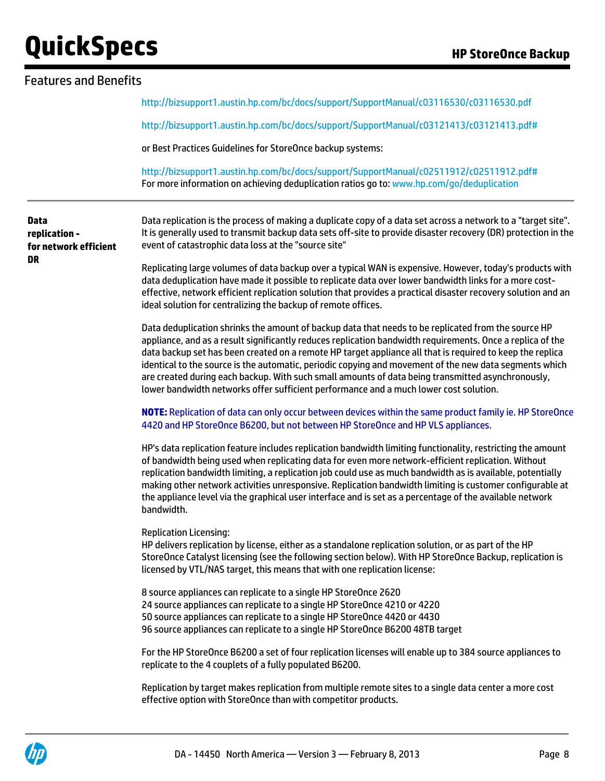| <b>Features and Benefits</b>                                                                                                                                                                                                                                                                                                                                                                                                                                                                                                                                                                                                           |  |  |
|----------------------------------------------------------------------------------------------------------------------------------------------------------------------------------------------------------------------------------------------------------------------------------------------------------------------------------------------------------------------------------------------------------------------------------------------------------------------------------------------------------------------------------------------------------------------------------------------------------------------------------------|--|--|
| http://bizsupport1.austin.hp.com/bc/docs/support/SupportManual/c03116530/c03116530.pdf                                                                                                                                                                                                                                                                                                                                                                                                                                                                                                                                                 |  |  |
| http://bizsupport1.austin.hp.com/bc/docs/support/SupportManual/c03121413/c03121413.pdf#                                                                                                                                                                                                                                                                                                                                                                                                                                                                                                                                                |  |  |
| or Best Practices Guidelines for StoreOnce backup systems:                                                                                                                                                                                                                                                                                                                                                                                                                                                                                                                                                                             |  |  |
| http://bizsupport1.austin.hp.com/bc/docs/support/SupportManual/c02511912/c02511912.pdf#<br>For more information on achieving deduplication ratios go to: www.hp.com/go/deduplication                                                                                                                                                                                                                                                                                                                                                                                                                                                   |  |  |
| Data replication is the process of making a duplicate copy of a data set across a network to a "target site".<br>It is generally used to transmit backup data sets off-site to provide disaster recovery (DR) protection in the<br>event of catastrophic data loss at the "source site"                                                                                                                                                                                                                                                                                                                                                |  |  |
| Replicating large volumes of data backup over a typical WAN is expensive. However, today's products with<br>data deduplication have made it possible to replicate data over lower bandwidth links for a more cost-<br>effective, network efficient replication solution that provides a practical disaster recovery solution and an<br>ideal solution for centralizing the backup of remote offices.                                                                                                                                                                                                                                   |  |  |
| Data deduplication shrinks the amount of backup data that needs to be replicated from the source HP<br>appliance, and as a result significantly reduces replication bandwidth requirements. Once a replica of the<br>data backup set has been created on a remote HP target appliance all that is required to keep the replica<br>identical to the source is the automatic, periodic copying and movement of the new data segments which<br>are created during each backup. With such small amounts of data being transmitted asynchronously,<br>lower bandwidth networks offer sufficient performance and a much lower cost solution. |  |  |
| NOTE: Replication of data can only occur between devices within the same product family ie. HP StoreOnce<br>4420 and HP StoreOnce B6200, but not between HP StoreOnce and HP VLS appliances.                                                                                                                                                                                                                                                                                                                                                                                                                                           |  |  |
| HP's data replication feature includes replication bandwidth limiting functionality, restricting the amount<br>of bandwidth being used when replicating data for even more network-efficient replication. Without<br>replication bandwidth limiting, a replication job could use as much bandwidth as is available, potentially<br>making other network activities unresponsive. Replication bandwidth limiting is customer configurable at<br>the appliance level via the graphical user interface and is set as a percentage of the available network<br>bandwidth.                                                                  |  |  |
| <b>Replication Licensing:</b><br>HP delivers replication by license, either as a standalone replication solution, or as part of the HP<br>StoreOnce Catalyst licensing (see the following section below). With HP StoreOnce Backup, replication is<br>licensed by VTL/NAS target, this means that with one replication license:                                                                                                                                                                                                                                                                                                        |  |  |
| 8 source appliances can replicate to a single HP StoreOnce 2620<br>24 source appliances can replicate to a single HP StoreOnce 4210 or 4220<br>50 source appliances can replicate to a single HP StoreOnce 4420 or 4430<br>96 source appliances can replicate to a single HP StoreOnce B6200 48TB target                                                                                                                                                                                                                                                                                                                               |  |  |
| For the HP StoreOnce B6200 a set of four replication licenses will enable up to 384 source appliances to<br>replicate to the 4 couplets of a fully populated B6200.                                                                                                                                                                                                                                                                                                                                                                                                                                                                    |  |  |
| Replication by target makes replication from multiple remote sites to a single data center a more cost<br>effective option with StoreOnce than with competitor products.                                                                                                                                                                                                                                                                                                                                                                                                                                                               |  |  |
|                                                                                                                                                                                                                                                                                                                                                                                                                                                                                                                                                                                                                                        |  |  |

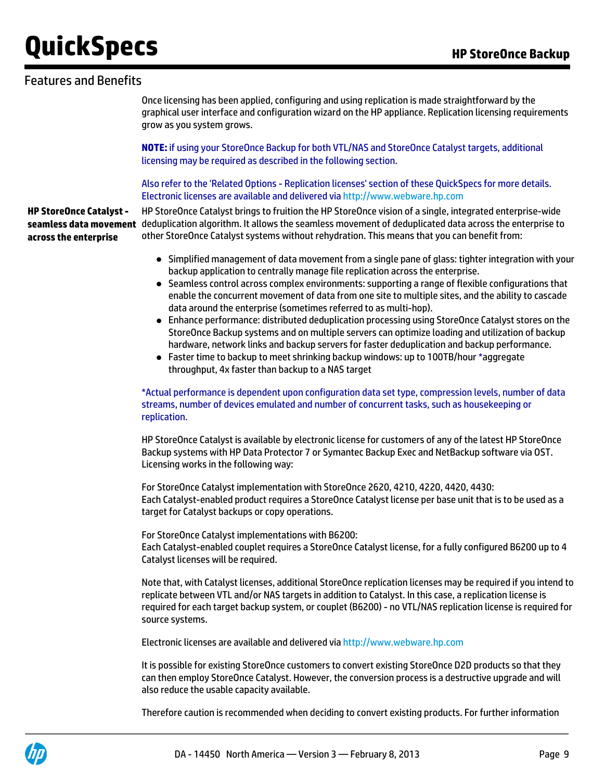### Features and Benefits

Once licensing has been applied, configuring and using replication is made straightforward by the graphical user interface and configuration wizard on the HP appliance. Replication licensing requirements grow as you system grows.

**NOTE:** if using your StoreOnce Backup for both VTL/NAS and StoreOnce Catalyst targets, additional licensing may be required as described in the following section.

Also refer to the 'Related Options - Replication licenses' section of these QuickSpecs for more details. Electronic licenses are available and delivered via<http://www.webware.hp.com>

**HP StoreOnce Catalyst seamless data movement** deduplication algorithm. It allows the seamless movement of deduplicated data across the enterprise to **across the enterprise** HP StoreOnce Catalyst brings to fruition the HP StoreOnce vision of a single, integrated enterprise-wide other StoreOnce Catalyst systems without rehydration. This means that you can benefit from:

- Simplified management of data movement from a single pane of glass: tighter integration with your backup application to centrally manage file replication across the enterprise.
- Seamless control across complex environments: supporting a range of flexible configurations that enable the concurrent movement of data from one site to multiple sites, and the ability to cascade data around the enterprise (sometimes referred to as multi-hop).
- Enhance performance: distributed deduplication processing using StoreOnce Catalyst stores on the StoreOnce Backup systems and on multiple servers can optimize loading and utilization of backup hardware, network links and backup servers for faster deduplication and backup performance.
- Faster time to backup to meet shrinking backup windows: up to 100TB/hour \*aggregate throughput, 4x faster than backup to a NAS target

#### \*Actual performance is dependent upon configuration data set type, compression levels, number of data streams, number of devices emulated and number of concurrent tasks, such as housekeeping or replication.

HP StoreOnce Catalyst is available by electronic license for customers of any of the latest HP StoreOnce Backup systems with HP Data Protector 7 or Symantec Backup Exec and NetBackup software via OST. Licensing works in the following way:

For StoreOnce Catalyst implementation with StoreOnce 2620, 4210, 4220, 4420, 4430: Each Catalyst-enabled product requires a StoreOnce Catalyst license per base unit that is to be used as a target for Catalyst backups or copy operations.

For StoreOnce Catalyst implementations with B6200: Each Catalyst-enabled couplet requires a StoreOnce Catalyst license, for a fully configured B6200 up to 4 Catalyst licenses will be required.

Note that, with Catalyst licenses, additional StoreOnce replication licenses may be required if you intend to replicate between VTL and/or NAS targets in addition to Catalyst. In this case, a replication license is required for each target backup system, or couplet (B6200) - no VTL/NAS replication license is required for source systems.

Electronic licenses are available and delivered via<http://www.webware.hp.com>

It is possible for existing StoreOnce customers to convert existing StoreOnce D2D products so that they can then employ StoreOnce Catalyst. However, the conversion process is a destructive upgrade and will also reduce the usable capacity available.

Therefore caution is recommended when deciding to convert existing products. For further information

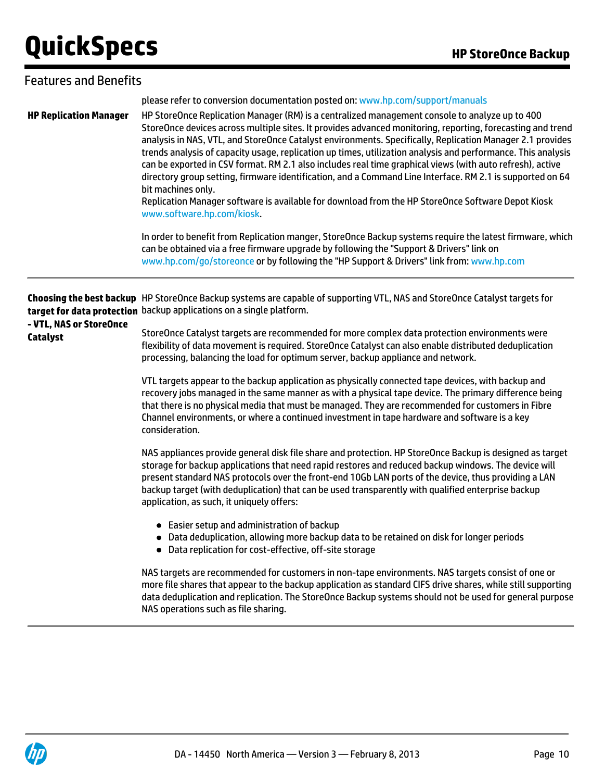| <b>Features and Benefits</b>               |                                                                                                                                                                                                                                                                                                                                                                                                                                                                                                                                                                                                                                                                                                                                                                                                                                                                                                                                                                                                                                                                                                                                                                                                                                                                                                                                                                                                                                                                                                                                                                                                                                                                                                                                                                                                                                                                                                                                                                                                       |
|--------------------------------------------|-------------------------------------------------------------------------------------------------------------------------------------------------------------------------------------------------------------------------------------------------------------------------------------------------------------------------------------------------------------------------------------------------------------------------------------------------------------------------------------------------------------------------------------------------------------------------------------------------------------------------------------------------------------------------------------------------------------------------------------------------------------------------------------------------------------------------------------------------------------------------------------------------------------------------------------------------------------------------------------------------------------------------------------------------------------------------------------------------------------------------------------------------------------------------------------------------------------------------------------------------------------------------------------------------------------------------------------------------------------------------------------------------------------------------------------------------------------------------------------------------------------------------------------------------------------------------------------------------------------------------------------------------------------------------------------------------------------------------------------------------------------------------------------------------------------------------------------------------------------------------------------------------------------------------------------------------------------------------------------------------------|
| <b>HP Replication Manager</b>              | please refer to conversion documentation posted on: www.hp.com/support/manuals<br>HP StoreOnce Replication Manager (RM) is a centralized management console to analyze up to 400<br>StoreOnce devices across multiple sites. It provides advanced monitoring, reporting, forecasting and trend<br>analysis in NAS, VTL, and StoreOnce Catalyst environments. Specifically, Replication Manager 2.1 provides<br>trends analysis of capacity usage, replication up times, utilization analysis and performance. This analysis<br>can be exported in CSV format. RM 2.1 also includes real time graphical views (with auto refresh), active<br>directory group setting, firmware identification, and a Command Line Interface. RM 2.1 is supported on 64<br>bit machines only.<br>Replication Manager software is available for download from the HP StoreOnce Software Depot Kiosk<br>www.software.hp.com/kiosk.<br>In order to benefit from Replication manger, StoreOnce Backup systems require the latest firmware, which<br>can be obtained via a free firmware upgrade by following the "Support & Drivers" link on<br>www.hp.com/go/storeonce or by following the "HP Support & Drivers" link from: www.hp.com                                                                                                                                                                                                                                                                                                                                                                                                                                                                                                                                                                                                                                                                                                                                                                                    |
| - VTL, NAS or StoreOnce<br><b>Catalyst</b> | Choosing the best backup HP StoreOnce Backup systems are capable of supporting VTL, NAS and StoreOnce Catalyst targets for<br>target for data protection backup applications on a single platform.<br>StoreOnce Catalyst targets are recommended for more complex data protection environments were<br>flexibility of data movement is required. StoreOnce Catalyst can also enable distributed deduplication<br>processing, balancing the load for optimum server, backup appliance and network.<br>VTL targets appear to the backup application as physically connected tape devices, with backup and<br>recovery jobs managed in the same manner as with a physical tape device. The primary difference being<br>that there is no physical media that must be managed. They are recommended for customers in Fibre<br>Channel environments, or where a continued investment in tape hardware and software is a key<br>consideration.<br>NAS appliances provide general disk file share and protection. HP StoreOnce Backup is designed as target<br>storage for backup applications that need rapid restores and reduced backup windows. The device will<br>present standard NAS protocols over the front-end 10Gb LAN ports of the device, thus providing a LAN<br>backup target (with deduplication) that can be used transparently with qualified enterprise backup<br>application, as such, it uniquely offers:<br>• Easier setup and administration of backup<br>• Data deduplication, allowing more backup data to be retained on disk for longer periods<br>• Data replication for cost-effective, off-site storage<br>NAS targets are recommended for customers in non-tape environments. NAS targets consist of one or<br>more file shares that appear to the backup application as standard CIFS drive shares, while still supporting<br>data deduplication and replication. The StoreOnce Backup systems should not be used for general purpose<br>NAS operations such as file sharing. |

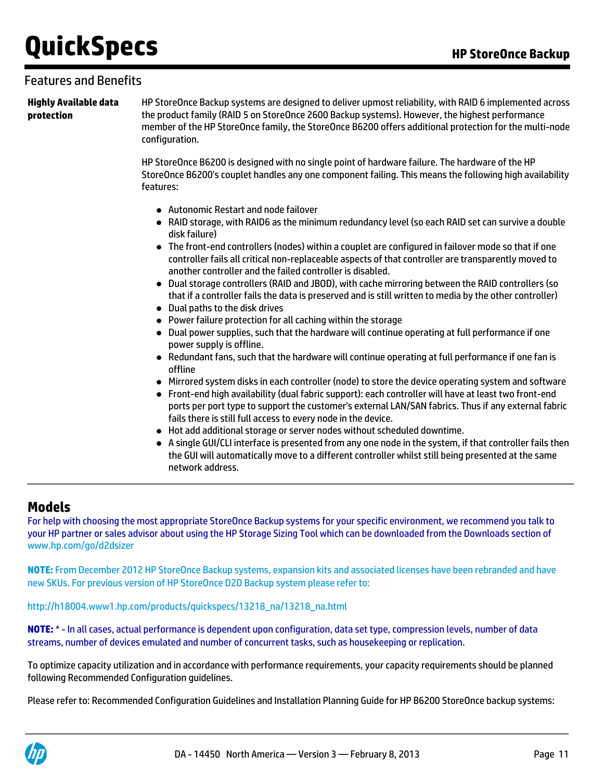### Features and Benefits

**Highly Available data protection**

HP StoreOnce Backup systems are designed to deliver upmost reliability, with RAID 6 implemented across the product family (RAID 5 on StoreOnce 2600 Backup systems). However, the highest performance member of the HP StoreOnce family, the StoreOnce B6200 offers additional protection for the multi-node configuration.

HP StoreOnce B6200 is designed with no single point of hardware failure. The hardware of the HP StoreOnce B6200's couplet handles any one component failing. This means the following high availability features:

- Autonomic Restart and node failover
- RAID storage, with RAID6 as the minimum redundancy level (so each RAID set can survive a double disk failure)
- The front-end controllers (nodes) within a couplet are configured in failover mode so that if one controller fails all critical non-replaceable aspects of that controller are transparently moved to another controller and the failed controller is disabled.
- Dual storage controllers (RAID and JBOD), with cache mirroring between the RAID controllers (so that if a controller fails the data is preserved and is still written to media by the other controller)
- Dual paths to the disk drives
- Power failure protection for all caching within the storage
- Dual power supplies, such that the hardware will continue operating at full performance if one power supply is offline.
- Redundant fans, such that the hardware will continue operating at full performance if one fan is offline
- Mirrored system disks in each controller (node) to store the device operating system and software
- Front-end high availability (dual fabric support): each controller will have at least two front-end ports per port type to support the customer's external LAN/SAN fabrics. Thus if any external fabric fails there is still full access to every node in the device.
- Hot add additional storage or server nodes without scheduled downtime.
- A single GUI/CLI interface is presented from any one node in the system, if that controller fails then the GUI will automatically move to a different controller whilst still being presented at the same network address.

### **Models**

For help with choosing the most appropriate StoreOnce Backup systems for your specific environment, we recommend you talk to your HP partner or sales advisor about using the HP Storage Sizing Tool which can be downloaded from the Downloads section of [www.hp.com/go/d2dsizer](http://www.hp.com/go/d2dsizer)

**[NOTE:](http://www.hp.com/go/d2dsizer)** [From December 2012 HP StoreOnce Backup systems, expansion kits and associated licenses have been rebranded and have](http://www.hp.com/go/d2dsizer) [new SKUs. For previous version of HP StoreOnce D2D Backup system please refer to:](http://www.hp.com/go/d2dsizer)

[http://h18004.www1.hp.com/products/quickspecs/13218\\_na/13218\\_na.html](http://h18004.www1.hp.com/products/quickspecs/13218_na/13218_na.html)

**NOTE:** \* - In all cases, actual performance is dependent upon configuration, data set type, compression levels, number of data streams, number of devices emulated and number of concurrent tasks, such as housekeeping or replication.

To optimize capacity utilization and in accordance with performance requirements, your capacity requirements should be planned following Recommended Configuration guidelines.

Please refer to: Recommended Configuration Guidelines and Installation Planning Guide for HP B6200 StoreOnce backup systems:

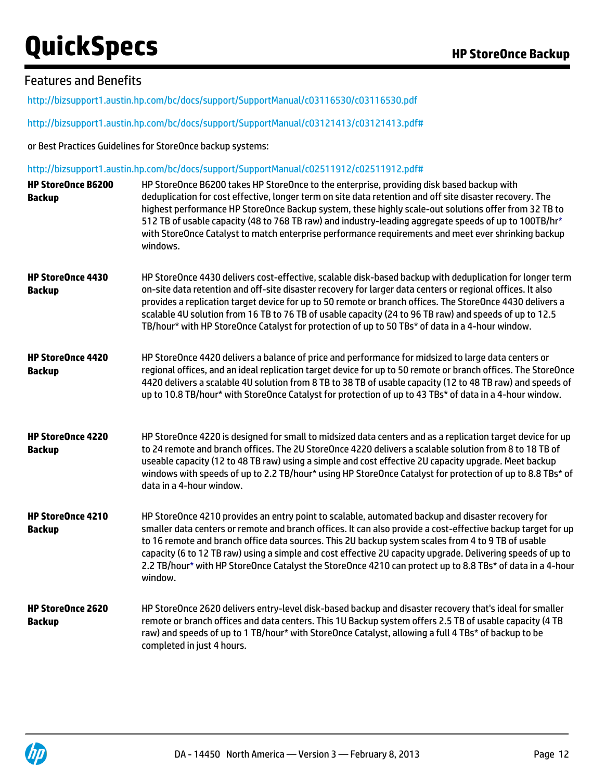## Features and Benefits

<http://bizsupport1.austin.hp.com/bc/docs/support/SupportManual/c03116530/c03116530.pdf>

<http://bizsupport1.austin.hp.com/bc/docs/support/SupportManual/c03121413/c03121413.pdf#>

or Best Practices Guidelines for StoreOnce backup systems:

#### <http://bizsupport1.austin.hp.com/bc/docs/support/SupportManual/c02511912/c02511912.pdf#>

| <b>HP StoreOnce B6200</b><br><b>Backup</b> | HP StoreOnce B6200 takes HP StoreOnce to the enterprise, providing disk based backup with<br>deduplication for cost effective, longer term on site data retention and off site disaster recovery. The<br>highest performance HP StoreOnce Backup system, these highly scale-out solutions offer from 32 TB to<br>512 TB of usable capacity (48 to 768 TB raw) and industry-leading aggregate speeds of up to 100TB/hr*<br>with StoreOnce Catalyst to match enterprise performance requirements and meet ever shrinking backup<br>windows.                      |
|--------------------------------------------|----------------------------------------------------------------------------------------------------------------------------------------------------------------------------------------------------------------------------------------------------------------------------------------------------------------------------------------------------------------------------------------------------------------------------------------------------------------------------------------------------------------------------------------------------------------|
| HP StoreOnce 4430<br><b>Backup</b>         | HP StoreOnce 4430 delivers cost-effective, scalable disk-based backup with deduplication for longer term<br>on-site data retention and off-site disaster recovery for larger data centers or regional offices. It also<br>provides a replication target device for up to 50 remote or branch offices. The StoreOnce 4430 delivers a<br>scalable 4U solution from 16 TB to 76 TB of usable capacity (24 to 96 TB raw) and speeds of up to 12.5<br>TB/hour* with HP StoreOnce Catalyst for protection of up to 50 TBs* of data in a 4-hour window.               |
| <b>HP StoreOnce 4420</b><br><b>Backup</b>  | HP StoreOnce 4420 delivers a balance of price and performance for midsized to large data centers or<br>regional offices, and an ideal replication target device for up to 50 remote or branch offices. The StoreOnce<br>4420 delivers a scalable 4U solution from 8 TB to 38 TB of usable capacity (12 to 48 TB raw) and speeds of<br>up to 10.8 TB/hour* with StoreOnce Catalyst for protection of up to 43 TBs* of data in a 4-hour window.                                                                                                                  |
| HP StoreOnce 4220<br><b>Backup</b>         | HP StoreOnce 4220 is designed for small to midsized data centers and as a replication target device for up<br>to 24 remote and branch offices. The 2U StoreOnce 4220 delivers a scalable solution from 8 to 18 TB of<br>useable capacity (12 to 48 TB raw) using a simple and cost effective 2U capacity upgrade. Meet backup<br>windows with speeds of up to 2.2 TB/hour* using HP StoreOnce Catalyst for protection of up to 8.8 TBs* of<br>data in a 4-hour window.                                                                                         |
| HP StoreOnce 4210<br><b>Backup</b>         | HP StoreOnce 4210 provides an entry point to scalable, automated backup and disaster recovery for<br>smaller data centers or remote and branch offices. It can also provide a cost-effective backup target for up<br>to 16 remote and branch office data sources. This 2U backup system scales from 4 to 9 TB of usable<br>capacity (6 to 12 TB raw) using a simple and cost effective 2U capacity upgrade. Delivering speeds of up to<br>2.2 TB/hour* with HP StoreOnce Catalyst the StoreOnce 4210 can protect up to 8.8 TBs* of data in a 4-hour<br>window. |
| <b>HP StoreOnce 2620</b><br><b>Backup</b>  | HP StoreOnce 2620 delivers entry-level disk-based backup and disaster recovery that's ideal for smaller<br>remote or branch offices and data centers. This 1U Backup system offers 2.5 TB of usable capacity (4 TB<br>raw) and speeds of up to 1 TB/hour* with StoreOnce Catalyst, allowing a full 4 TBs* of backup to be<br>completed in just 4 hours.                                                                                                                                                                                                        |

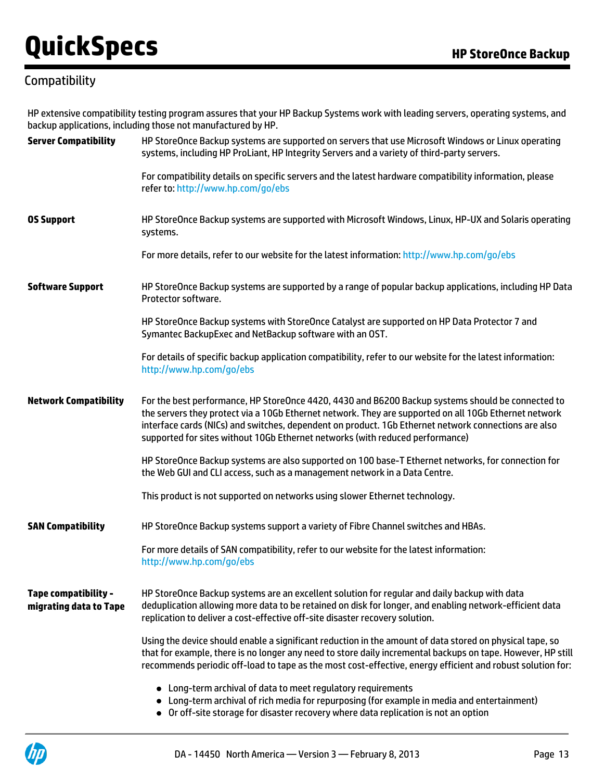## **Compatibility**

HP extensive compatibility testing program assures that your HP Backup Systems work with leading servers, operating systems, and backup applications, including those not manufactured by HP.

| <b>Server Compatibility</b>                    | HP StoreOnce Backup systems are supported on servers that use Microsoft Windows or Linux operating<br>systems, including HP ProLiant, HP Integrity Servers and a variety of third-party servers.                                                                                                                                                                                                    |
|------------------------------------------------|-----------------------------------------------------------------------------------------------------------------------------------------------------------------------------------------------------------------------------------------------------------------------------------------------------------------------------------------------------------------------------------------------------|
|                                                | For compatibility details on specific servers and the latest hardware compatibility information, please<br>refer to: http://www.hp.com/go/ebs                                                                                                                                                                                                                                                       |
| <b>OS Support</b>                              | HP StoreOnce Backup systems are supported with Microsoft Windows, Linux, HP-UX and Solaris operating<br>systems.                                                                                                                                                                                                                                                                                    |
|                                                | For more details, refer to our website for the latest information: http://www.hp.com/go/ebs                                                                                                                                                                                                                                                                                                         |
| <b>Software Support</b>                        | HP StoreOnce Backup systems are supported by a range of popular backup applications, including HP Data<br>Protector software.                                                                                                                                                                                                                                                                       |
|                                                | HP StoreOnce Backup systems with StoreOnce Catalyst are supported on HP Data Protector 7 and<br>Symantec BackupExec and NetBackup software with an OST.                                                                                                                                                                                                                                             |
|                                                | For details of specific backup application compatibility, refer to our website for the latest information:<br>http://www.hp.com/go/ebs                                                                                                                                                                                                                                                              |
| <b>Network Compatibility</b>                   | For the best performance, HP StoreOnce 4420, 4430 and B6200 Backup systems should be connected to<br>the servers they protect via a 10Gb Ethernet network. They are supported on all 10Gb Ethernet network<br>interface cards (NICs) and switches, dependent on product. 1Gb Ethernet network connections are also<br>supported for sites without 10Gb Ethernet networks (with reduced performance) |
|                                                | HP StoreOnce Backup systems are also supported on 100 base-T Ethernet networks, for connection for<br>the Web GUI and CLI access, such as a management network in a Data Centre.                                                                                                                                                                                                                    |
|                                                | This product is not supported on networks using slower Ethernet technology.                                                                                                                                                                                                                                                                                                                         |
| <b>SAN Compatibility</b>                       | HP StoreOnce Backup systems support a variety of Fibre Channel switches and HBAs.                                                                                                                                                                                                                                                                                                                   |
|                                                | For more details of SAN compatibility, refer to our website for the latest information:<br>http://www.hp.com/go/ebs                                                                                                                                                                                                                                                                                 |
| Tape compatibility -<br>migrating data to Tape | HP StoreOnce Backup systems are an excellent solution for regular and daily backup with data<br>deduplication allowing more data to be retained on disk for longer, and enabling network-efficient data<br>replication to deliver a cost-effective off-site disaster recovery solution.                                                                                                             |
|                                                | Using the device should enable a significant reduction in the amount of data stored on physical tape, so<br>that for example, there is no longer any need to store daily incremental backups on tape. However, HP still<br>recommends periodic off-load to tape as the most cost-effective, energy efficient and robust solution for:                                                               |
|                                                | • Long-term archival of data to meet regulatory requirements<br>• Long-term archival of rich media for repurposing (for example in media and entertainment)<br>• Or off-site storage for disaster recovery where data replication is not an option                                                                                                                                                  |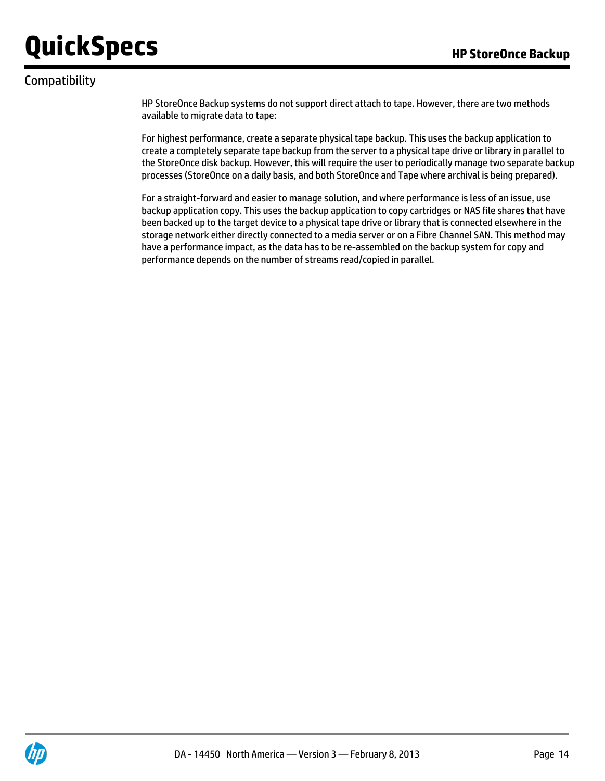## Compatibility

HP StoreOnce Backup systems do not support direct attach to tape. However, there are two methods available to migrate data to tape:

For highest performance, create a separate physical tape backup. This uses the backup application to create a completely separate tape backup from the server to a physical tape drive or library in parallel to the StoreOnce disk backup. However, this will require the user to periodically manage two separate backup processes (StoreOnce on a daily basis, and both StoreOnce and Tape where archival is being prepared).

For a straight-forward and easier to manage solution, and where performance is less of an issue, use backup application copy. This uses the backup application to copy cartridges or NAS file shares that have been backed up to the target device to a physical tape drive or library that is connected elsewhere in the storage network either directly connected to a media server or on a Fibre Channel SAN. This method may have a performance impact, as the data has to be re-assembled on the backup system for copy and performance depends on the number of streams read/copied in parallel.

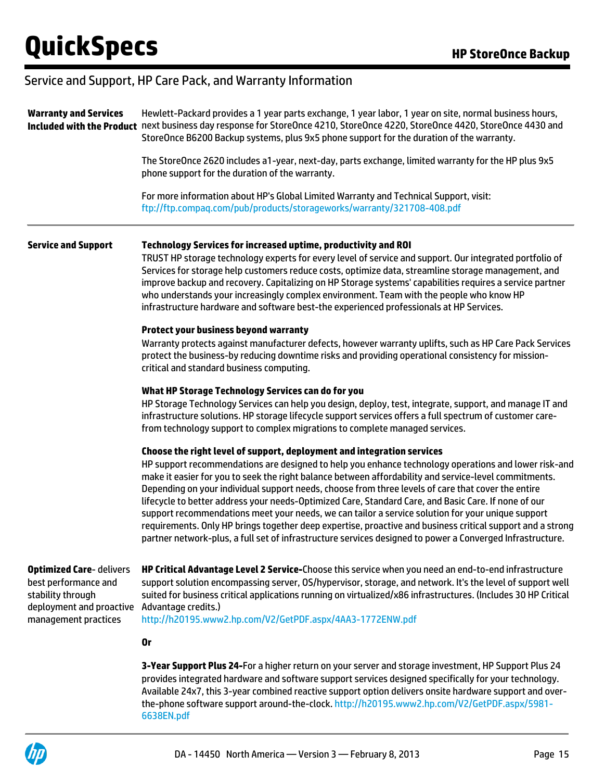### Service and Support, HP Care Pack, and Warranty Information

| <b>Warranty and Services</b>                                                                                                    | Hewlett-Packard provides a 1 year parts exchange, 1 year labor, 1 year on site, normal business hours,<br>Included with the Product next business day response for StoreOnce 4210, StoreOnce 4220, StoreOnce 4420, StoreOnce 4430 and<br>StoreOnce B6200 Backup systems, plus 9x5 phone support for the duration of the warranty.<br>The StoreOnce 2620 includes a1-year, next-day, parts exchange, limited warranty for the HP plus 9x5<br>phone support for the duration of the warranty.                                                                                                                                                                                                                                                                                                                                           |  |  |
|---------------------------------------------------------------------------------------------------------------------------------|---------------------------------------------------------------------------------------------------------------------------------------------------------------------------------------------------------------------------------------------------------------------------------------------------------------------------------------------------------------------------------------------------------------------------------------------------------------------------------------------------------------------------------------------------------------------------------------------------------------------------------------------------------------------------------------------------------------------------------------------------------------------------------------------------------------------------------------|--|--|
|                                                                                                                                 |                                                                                                                                                                                                                                                                                                                                                                                                                                                                                                                                                                                                                                                                                                                                                                                                                                       |  |  |
|                                                                                                                                 | For more information about HP's Global Limited Warranty and Technical Support, visit:<br>ftp://ftp.compaq.com/pub/products/storageworks/warranty/321708-408.pdf                                                                                                                                                                                                                                                                                                                                                                                                                                                                                                                                                                                                                                                                       |  |  |
| <b>Service and Support</b>                                                                                                      | Technology Services for increased uptime, productivity and ROI<br>TRUST HP storage technology experts for every level of service and support. Our integrated portfolio of<br>Services for storage help customers reduce costs, optimize data, streamline storage management, and<br>improve backup and recovery. Capitalizing on HP Storage systems' capabilities requires a service partner<br>who understands your increasingly complex environment. Team with the people who know HP<br>infrastructure hardware and software best-the experienced professionals at HP Services.                                                                                                                                                                                                                                                    |  |  |
|                                                                                                                                 | <b>Protect your business beyond warranty</b><br>Warranty protects against manufacturer defects, however warranty uplifts, such as HP Care Pack Services<br>protect the business-by reducing downtime risks and providing operational consistency for mission-<br>critical and standard business computing.                                                                                                                                                                                                                                                                                                                                                                                                                                                                                                                            |  |  |
|                                                                                                                                 | What HP Storage Technology Services can do for you<br>HP Storage Technology Services can help you design, deploy, test, integrate, support, and manage IT and<br>infrastructure solutions. HP storage lifecycle support services offers a full spectrum of customer care-<br>from technology support to complex migrations to complete managed services.                                                                                                                                                                                                                                                                                                                                                                                                                                                                              |  |  |
|                                                                                                                                 | Choose the right level of support, deployment and integration services<br>HP support recommendations are designed to help you enhance technology operations and lower risk-and<br>make it easier for you to seek the right balance between affordability and service-level commitments.<br>Depending on your individual support needs, choose from three levels of care that cover the entire<br>lifecycle to better address your needs-Optimized Care, Standard Care, and Basic Care. If none of our<br>support recommendations meet your needs, we can tailor a service solution for your unique support<br>requirements. Only HP brings together deep expertise, proactive and business critical support and a strong<br>partner network-plus, a full set of infrastructure services designed to power a Converged Infrastructure. |  |  |
| <b>Optimized Care-delivers</b><br>best performance and<br>stability through<br>deployment and proactive<br>management practices | HP Critical Advantage Level 2 Service-Choose this service when you need an end-to-end infrastructure<br>support solution encompassing server, OS/hypervisor, storage, and network. It's the level of support well<br>suited for business critical applications running on virtualized/x86 infrastructures. (Includes 30 HP Critical<br>Advantage credits.)<br>http://h20195.www2.hp.com/V2/GetPDF.aspx/4AA3-1772ENW.pdf                                                                                                                                                                                                                                                                                                                                                                                                               |  |  |
|                                                                                                                                 | <b>Or</b>                                                                                                                                                                                                                                                                                                                                                                                                                                                                                                                                                                                                                                                                                                                                                                                                                             |  |  |
|                                                                                                                                 | 3-Year Support Plus 24-For a higher return on your server and storage investment, HP Support Plus 24<br>provides integrated hardware and software support services designed specifically for your technology.                                                                                                                                                                                                                                                                                                                                                                                                                                                                                                                                                                                                                         |  |  |

Available 24x7, this 3-year combined reactive support option delivers onsite hardware support and overthe-phone software support around-the-clock. [http://h20195.www2.hp.com/V2/GetPDF.aspx/5981-](http://h20195.www2.hp.com/V2/GetPDF.aspx/5981-6638EN.pdf) [6638EN.pdf](http://h20195.www2.hp.com/V2/GetPDF.aspx/5981-6638EN.pdf)

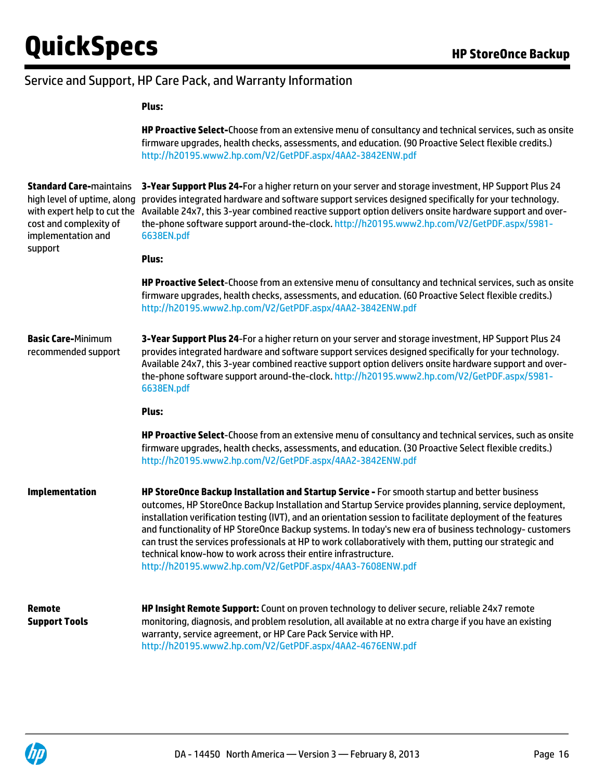### Service and Support, HP Care Pack, and Warranty Information

#### **Plus:**

|                                                                                                                                              | HP Proactive Select-Choose from an extensive menu of consultancy and technical services, such as onsite<br>firmware upgrades, health checks, assessments, and education. (90 Proactive Select flexible credits.)<br>http://h20195.www2.hp.com/V2/GetPDF.aspx/4AA2-3842ENW.pdf                                                                                                                                                                                                                                                                                                                                                                                              |
|----------------------------------------------------------------------------------------------------------------------------------------------|----------------------------------------------------------------------------------------------------------------------------------------------------------------------------------------------------------------------------------------------------------------------------------------------------------------------------------------------------------------------------------------------------------------------------------------------------------------------------------------------------------------------------------------------------------------------------------------------------------------------------------------------------------------------------|
| <b>Standard Care-maintains</b><br>high level of uptime, along<br>with expert help to cut the<br>cost and complexity of<br>implementation and | 3-Year Support Plus 24-For a higher return on your server and storage investment, HP Support Plus 24<br>provides integrated hardware and software support services designed specifically for your technology.<br>Available 24x7, this 3-year combined reactive support option delivers onsite hardware support and over-<br>the-phone software support around-the-clock. http://h20195.www2.hp.com/V2/GetPDF.aspx/5981-<br>6638EN.pdf                                                                                                                                                                                                                                      |
| support                                                                                                                                      | Plus:                                                                                                                                                                                                                                                                                                                                                                                                                                                                                                                                                                                                                                                                      |
|                                                                                                                                              | HP Proactive Select-Choose from an extensive menu of consultancy and technical services, such as onsite<br>firmware upgrades, health checks, assessments, and education. (60 Proactive Select flexible credits.)<br>http://h20195.www2.hp.com/V2/GetPDF.aspx/4AA2-3842ENW.pdf                                                                                                                                                                                                                                                                                                                                                                                              |
| <b>Basic Care-Minimum</b><br>recommended support                                                                                             | 3-Year Support Plus 24-For a higher return on your server and storage investment, HP Support Plus 24<br>provides integrated hardware and software support services designed specifically for your technology.<br>Available 24x7, this 3-year combined reactive support option delivers onsite hardware support and over-<br>the-phone software support around-the-clock. http://h20195.www2.hp.com/V2/GetPDF.aspx/5981-<br>6638EN.pdf                                                                                                                                                                                                                                      |
|                                                                                                                                              | Plus:                                                                                                                                                                                                                                                                                                                                                                                                                                                                                                                                                                                                                                                                      |
|                                                                                                                                              | HP Proactive Select-Choose from an extensive menu of consultancy and technical services, such as onsite<br>firmware upgrades, health checks, assessments, and education. (30 Proactive Select flexible credits.)<br>http://h20195.www2.hp.com/V2/GetPDF.aspx/4AA2-3842ENW.pdf                                                                                                                                                                                                                                                                                                                                                                                              |
| <b>Implementation</b>                                                                                                                        | HP StoreOnce Backup Installation and Startup Service - For smooth startup and better business<br>outcomes, HP StoreOnce Backup Installation and Startup Service provides planning, service deployment,<br>installation verification testing (IVT), and an orientation session to facilitate deployment of the features<br>and functionality of HP StoreOnce Backup systems. In today's new era of business technology- customers<br>can trust the services professionals at HP to work collaboratively with them, putting our strategic and<br>technical know-how to work across their entire infrastructure.<br>http://h20195.www2.hp.com/V2/GetPDF.aspx/4AA3-7608ENW.pdf |
| <b>Remote</b><br><b>Support Tools</b>                                                                                                        | HP Insight Remote Support: Count on proven technology to deliver secure, reliable 24x7 remote<br>monitoring, diagnosis, and problem resolution, all available at no extra charge if you have an existing<br>warranty, service agreement, or HP Care Pack Service with HP.<br>http://h20195.www2.hp.com/V2/GetPDF.aspx/4AA2-4676ENW.pdf                                                                                                                                                                                                                                                                                                                                     |

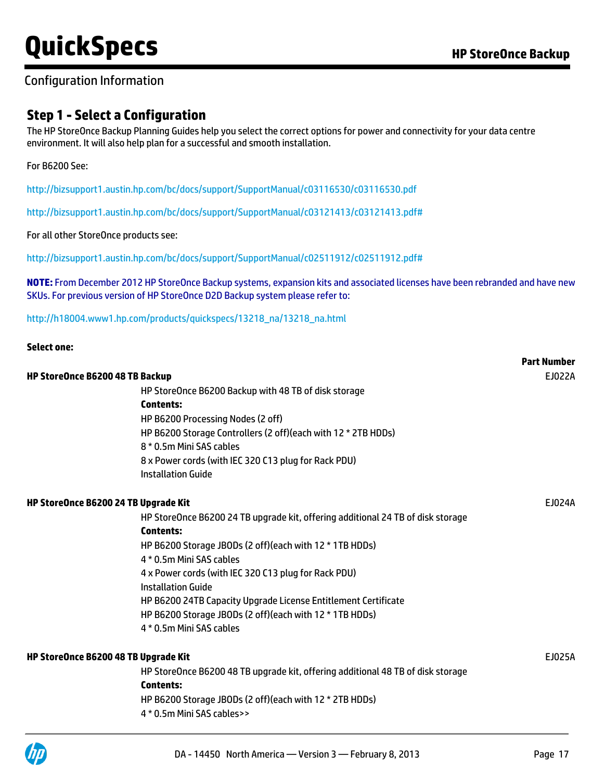### Configuration Information

### **Step 1 - Select a Configuration**

The HP StoreOnce Backup Planning Guides help you select the correct options for power and connectivity for your data centre environment. It will also help plan for a successful and smooth installation.

#### For B6200 See:

**Select one:**

<http://bizsupport1.austin.hp.com/bc/docs/support/SupportManual/c03116530/c03116530.pdf>

<http://bizsupport1.austin.hp.com/bc/docs/support/SupportManual/c03121413/c03121413.pdf#>

#### For all other StoreOnce products see:

<http://bizsupport1.austin.hp.com/bc/docs/support/SupportManual/c02511912/c02511912.pdf#>

**NOTE:** From December 2012 HP StoreOnce Backup systems, expansion kits and associated licenses have been rebranded and have new SKUs. For previous version of HP StoreOnce D2D Backup system please refer to:

#### [http://h18004.www1.hp.com/products/quickspecs/13218\\_na/13218\\_na.html](http://h18004.www1.hp.com/products/quickspecs/13218_na/13218_na.html)

| select one:                                                                     | <b>Part Number</b> |
|---------------------------------------------------------------------------------|--------------------|
|                                                                                 |                    |
| HP StoreOnce B6200 48 TB Backup                                                 | EJ022A             |
| HP StoreOnce B6200 Backup with 48 TB of disk storage                            |                    |
| <b>Contents:</b>                                                                |                    |
| HP B6200 Processing Nodes (2 off)                                               |                    |
| HP B6200 Storage Controllers (2 off)(each with 12 * 2TB HDDs)                   |                    |
| 8 * 0.5m Mini SAS cables                                                        |                    |
| 8 x Power cords (with IEC 320 C13 plug for Rack PDU)                            |                    |
| <b>Installation Guide</b>                                                       |                    |
| HP StoreOnce B6200 24 TB Upgrade Kit                                            | EJ024A             |
| HP StoreOnce B6200 24 TB upgrade kit, offering additional 24 TB of disk storage |                    |
| <b>Contents:</b>                                                                |                    |
| HP B6200 Storage JBODs (2 off) (each with 12 * 1TB HDDs)                        |                    |
| 4 * 0.5m Mini SAS cables                                                        |                    |
| 4 x Power cords (with IEC 320 C13 plug for Rack PDU)                            |                    |
| <b>Installation Guide</b>                                                       |                    |
| HP B6200 24TB Capacity Upgrade License Entitlement Certificate                  |                    |
| HP B6200 Storage JBODs (2 off)(each with 12 * 1TB HDDs)                         |                    |
| 4 * 0.5m Mini SAS cables                                                        |                    |
| HP StoreOnce B6200 48 TB Upgrade Kit                                            | EJ025A             |
| HP StoreOnce B6200 48 TB upgrade kit, offering additional 48 TB of disk storage |                    |
| <b>Contents:</b>                                                                |                    |
| HP B6200 Storage JBODs (2 off) (each with 12 * 2TB HDDs)                        |                    |
| 4 * 0.5m Mini SAS cables>>                                                      |                    |
|                                                                                 |                    |

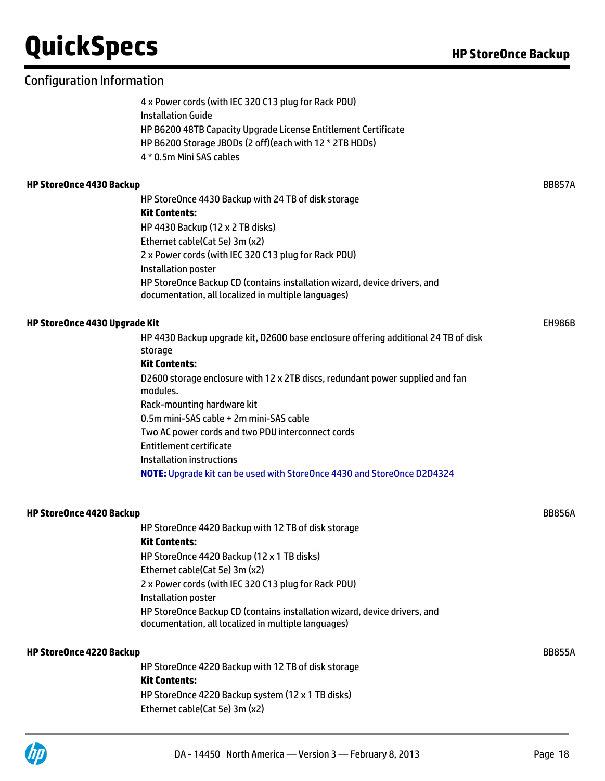4 x Power cords (with IEC 320 C13 plug for Rack PDU) Installation Guide HP B6200 48TB Capacity Upgrade License Entitlement Certificate HP B6200 Storage JBODs (2 off)(each with 12 \* 2TB HDDs) 4 \* 0.5m Mini SAS cables

#### **HP StoreOnce 4430 Backup** BB857A

HP StoreOnce 4430 Backup with 24 TB of disk storage **Kit Contents:** HP 4430 Backup (12 x 2 TB disks) Ethernet cable(Cat 5e) 3m (x2) 2 x Power cords (with IEC 320 C13 plug for Rack PDU) Installation poster HP StoreOnce Backup CD (contains installation wizard, device drivers, and documentation, all localized in multiple languages)

#### **HP StoreOnce 4430 Upgrade Kit** EH986B **EH986B**

HP 4430 Backup upgrade kit, D2600 base enclosure offering additional 24 TB of disk storage **Kit Contents:** D2600 storage enclosure with 12 x 2TB discs, redundant power supplied and fan modules. Rack-mounting hardware kit

0.5m mini-SAS cable + 2m mini-SAS cable

Two AC power cords and two PDU interconnect cords

Entitlement certificate

Installation instructions

**NOTE:** Upgrade kit can be used with StoreOnce 4430 and StoreOnce D2D4324

#### **HP StoreOnce 4420 Backup** BB856A

HP StoreOnce 4420 Backup with 12 TB of disk storage **Kit Contents:** HP StoreOnce 4420 Backup (12 x 1 TB disks) Ethernet cable(Cat 5e) 3m (x2) 2 x Power cords (with IEC 320 C13 plug for Rack PDU) Installation poster HP StoreOnce Backup CD (contains installation wizard, device drivers, and documentation, all localized in multiple languages)

#### **HP StoreOnce 4220 Backup** BB855A

HP StoreOnce 4220 Backup with 12 TB of disk storage **Kit Contents:** HP StoreOnce 4220 Backup system (12 x 1 TB disks) Ethernet cable(Cat 5e) 3m (x2)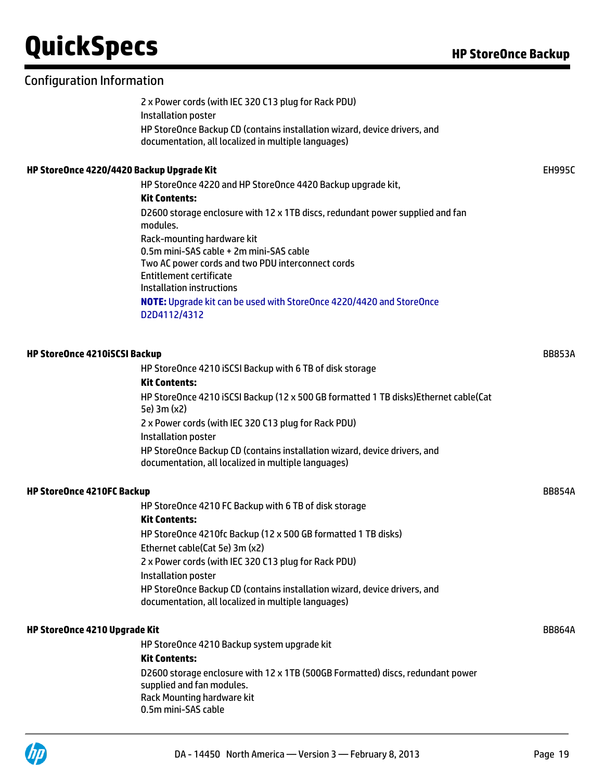### Configuration Information

2 x Power cords (with IEC 320 C13 plug for Rack PDU) Installation poster HP StoreOnce Backup CD (contains installation wizard, device drivers, and documentation, all localized in multiple languages)

#### **HP StoreOnce 4220/4420 Backup Upgrade Kit** EH995C

HP StoreOnce 4220 and HP StoreOnce 4420 Backup upgrade kit, **Kit Contents:** D2600 storage enclosure with 12 x 1TB discs, redundant power supplied and fan modules. Rack-mounting hardware kit 0.5m mini-SAS cable + 2m mini-SAS cable Two AC power cords and two PDU interconnect cords Entitlement certificate Installation instructions **NOTE:** Upgrade kit can be used with StoreOnce 4220/4420 and StoreOnce D2D4112/4312

### **HP StoreOnce 4210iSCSI Backup** BB853A HP StoreOnce 4210 iSCSI Backup with 6 TB of disk storage **Kit Contents:** HP StoreOnce 4210 iSCSI Backup (12 x 500 GB formatted 1 TB disks)Ethernet cable(Cat 5e) 3m (x2) 2 x Power cords (with IEC 320 C13 plug for Rack PDU) Installation poster HP StoreOnce Backup CD (contains installation wizard, device drivers, and documentation, all localized in multiple languages) **HP StoreOnce 4210FC Backup** BB854A HP StoreOnce 4210 FC Backup with 6 TB of disk storage **Kit Contents:** HP StoreOnce 4210fc Backup (12 x 500 GB formatted 1 TB disks) Ethernet cable(Cat 5e) 3m (x2) 2 x Power cords (with IEC 320 C13 plug for Rack PDU) Installation poster HP StoreOnce Backup CD (contains installation wizard, device drivers, and documentation, all localized in multiple languages) **HP StoreOnce 4210 Upgrade Kit** BB864A HP StoreOnce 4210 Backup system upgrade kit **Kit Contents:** D2600 storage enclosure with 12 x 1TB (500GB Formatted) discs, redundant power supplied and fan modules. Rack Mounting hardware kit 0.5m mini-SAS cable

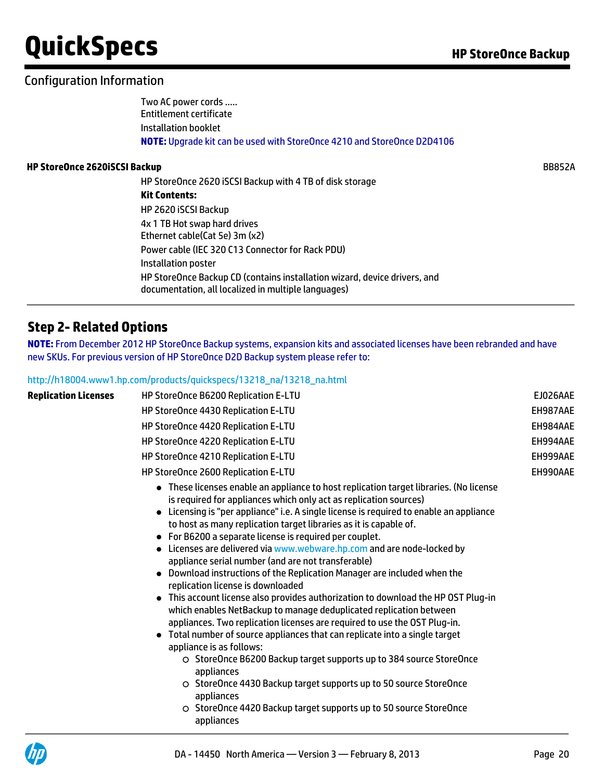## Configuration Information

Two AC power cords ….. Entitlement certificate Installation booklet **NOTE:** Upgrade kit can be used with StoreOnce 4210 and StoreOnce D2D4106

#### **HP StoreOnce 2620iSCSI Backup** BB852A

| HP StoreOnce 2620 iSCSI Backup with 4 TB of disk storage                                                                         |
|----------------------------------------------------------------------------------------------------------------------------------|
| Kit Contents:                                                                                                                    |
| HP 2620 iSCSI Backup                                                                                                             |
| 4x 1 TB Hot swap hard drives                                                                                                     |
| Ethernet cable(Cat 5e) 3m (x2)                                                                                                   |
| Power cable (IEC 320 C13 Connector for Rack PDU)                                                                                 |
| Installation poster                                                                                                              |
| HP StoreOnce Backup CD (contains installation wizard, device drivers, and<br>documentation, all localized in multiple languages) |

## **Step 2- Related Options**

**NOTE:** From December 2012 HP StoreOnce Backup systems, expansion kits and associated licenses have been rebranded and have new SKUs. For previous version of HP StoreOnce D2D Backup system please refer to:

#### [http://h18004.www1.hp.com/products/quickspecs/13218\\_na/13218\\_na.html](http://h18004.www1.hp.com/products/quickspecs/13218_na/13218_na.html)

| <b>Replication Licenses</b> | HP StoreOnce B6200 Replication E-LTU                                                                                                                                                                                                                                                                                                                                                                                                                                                                                                                                                                                                                                                                                                                                                                                                                                                                                                                                                                                                                                                                                                                                                                                                              | EJ026AAE |  |  |  |  |
|-----------------------------|---------------------------------------------------------------------------------------------------------------------------------------------------------------------------------------------------------------------------------------------------------------------------------------------------------------------------------------------------------------------------------------------------------------------------------------------------------------------------------------------------------------------------------------------------------------------------------------------------------------------------------------------------------------------------------------------------------------------------------------------------------------------------------------------------------------------------------------------------------------------------------------------------------------------------------------------------------------------------------------------------------------------------------------------------------------------------------------------------------------------------------------------------------------------------------------------------------------------------------------------------|----------|--|--|--|--|
|                             | HP StoreOnce 4430 Replication E-LTU                                                                                                                                                                                                                                                                                                                                                                                                                                                                                                                                                                                                                                                                                                                                                                                                                                                                                                                                                                                                                                                                                                                                                                                                               |          |  |  |  |  |
|                             | HP StoreOnce 4420 Replication E-LTU                                                                                                                                                                                                                                                                                                                                                                                                                                                                                                                                                                                                                                                                                                                                                                                                                                                                                                                                                                                                                                                                                                                                                                                                               | EH984AAE |  |  |  |  |
|                             | HP StoreOnce 4220 Replication E-LTU                                                                                                                                                                                                                                                                                                                                                                                                                                                                                                                                                                                                                                                                                                                                                                                                                                                                                                                                                                                                                                                                                                                                                                                                               | EH994AAE |  |  |  |  |
|                             | HP StoreOnce 4210 Replication E-LTU                                                                                                                                                                                                                                                                                                                                                                                                                                                                                                                                                                                                                                                                                                                                                                                                                                                                                                                                                                                                                                                                                                                                                                                                               | EH999AAE |  |  |  |  |
|                             | HP StoreOnce 2600 Replication E-LTU                                                                                                                                                                                                                                                                                                                                                                                                                                                                                                                                                                                                                                                                                                                                                                                                                                                                                                                                                                                                                                                                                                                                                                                                               | EH990AAE |  |  |  |  |
|                             | • These licenses enable an appliance to host replication target libraries. (No license<br>is required for appliances which only act as replication sources)<br>Licensing is "per appliance" i.e. A single license is required to enable an appliance<br>to host as many replication target libraries as it is capable of.<br>• For B6200 a separate license is required per couplet.<br>• Licenses are delivered via www.webware.hp.com and are node-locked by<br>appliance serial number (and are not transferable)<br>• Download instructions of the Replication Manager are included when the<br>replication license is downloaded<br>• This account license also provides authorization to download the HP OST Plug-in<br>which enables NetBackup to manage deduplicated replication between<br>appliances. Two replication licenses are required to use the OST Plug-in.<br>Total number of source appliances that can replicate into a single target<br>appliance is as follows:<br>O StoreOnce B6200 Backup target supports up to 384 source StoreOnce<br>appliances<br>○ StoreOnce 4430 Backup target supports up to 50 source StoreOnce<br>appliances<br>○ StoreOnce 4420 Backup target supports up to 50 source StoreOnce<br>appliances |          |  |  |  |  |

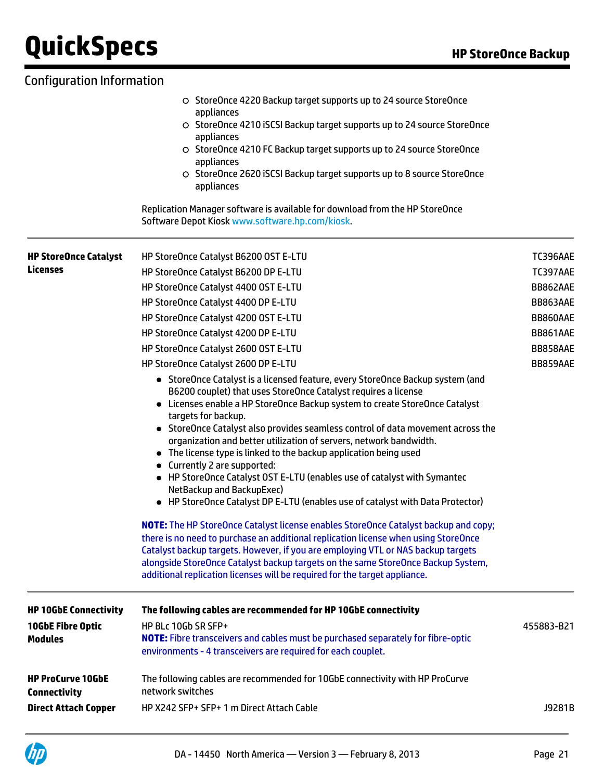### StoreOnce 4220 Backup target supports up to 24 source StoreOnce appliances StoreOnce 4210 iSCSI Backup target supports up to 24 source StoreOnce appliances O StoreOnce 4210 FC Backup target supports up to 24 source StoreOnce appliances O StoreOnce 2620 iSCSI Backup target supports up to 8 source StoreOnce appliances Replication Manager software is available for download from the HP StoreOnce Software Depot Kiosk [www.software.hp.com/kiosk.](http://www.software.hp.com/kiosk) **HP StoreOnce Catalyst Licenses** HP StoreOnce Catalyst B6200 OST E-LTU TC396AAE TC396AAE HP StoreOnce Catalyst B6200 DP E-LTU TC397AAE TC397AAE HP StoreOnce Catalyst 4400 OST E-LTU and the control of the control of the BB862AAE HP StoreOnce Catalyst 4400 DP E-LTU and the store of the store of the BB863AAE HP StoreOnce Catalyst 4200 OST E-LTU BB860AAE BB860AAE HP StoreOnce Catalyst 4200 DP E-LTU BB861AAE HP StoreOnce Catalyst 2600 OST E-LTU BB858AAE BB858AAE HP StoreOnce Catalyst 2600 DP E-LTU BB859AAE BB859AAE StoreOnce Catalyst is a licensed feature, every StoreOnce Backup system (and B6200 couplet) that uses StoreOnce Catalyst requires a license Licenses enable a HP StoreOnce Backup system to create StoreOnce Catalyst targets for backup. StoreOnce Catalyst also provides seamless control of data movement across the organization and better utilization of servers, network bandwidth. The license type is linked to the backup application being used ● Currently 2 are supported: HP StoreOnce Catalyst OST E-LTU (enables use of catalyst with Symantec NetBackup and BackupExec) HP StoreOnce Catalyst DP E-LTU (enables use of catalyst with Data Protector) **NOTE:** The HP StoreOnce Catalyst license enables StoreOnce Catalyst backup and copy; there is no need to purchase an additional replication license when using StoreOnce Catalyst backup targets. However, if you are employing VTL or NAS backup targets alongside StoreOnce Catalyst backup targets on the same StoreOnce Backup System, additional replication licenses will be required for the target appliance. **HP 10GbE Connectivity The following cables are recommended for HP 10GbE connectivity 10GbE Fibre Optic Modules** HP BLc 10Gb SR SFP+ **NOTE:** Fibre transceivers and cables must be purchased separately for fibre-optic environments - 4 transceivers are required for each couplet. 455883-B21 **HP ProCurve 10GbE Connectivity** The following cables are recommended for 10GbE connectivity with HP ProCurve network switches **Direct Attach Copper** HP X242 SFP+ SFP+ 1 m Direct Attach Cable J9281B Configuration Information

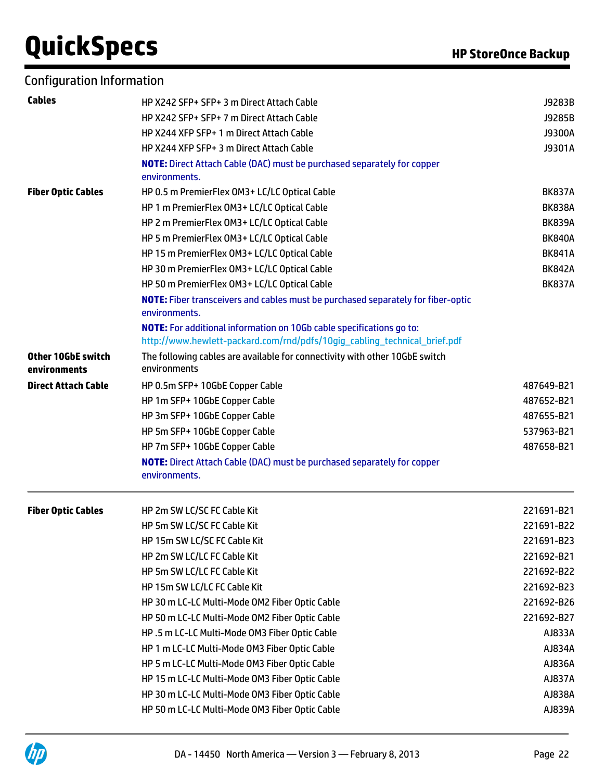| <b>Configuration Information</b> |  |  |  |  |
|----------------------------------|--|--|--|--|
|----------------------------------|--|--|--|--|

| <b>Cables</b>                      | HP X242 SFP+ SFP+ 3 m Direct Attach Cable                                                                                                                | J9283B        |
|------------------------------------|----------------------------------------------------------------------------------------------------------------------------------------------------------|---------------|
|                                    | HP X242 SFP+ SFP+ 7 m Direct Attach Cable                                                                                                                | J9285B        |
|                                    | HP X244 XFP SFP+ 1 m Direct Attach Cable                                                                                                                 | J9300A        |
|                                    | HP X244 XFP SFP+ 3 m Direct Attach Cable                                                                                                                 | J9301A        |
|                                    | <b>NOTE:</b> Direct Attach Cable (DAC) must be purchased separately for copper                                                                           |               |
|                                    | environments.                                                                                                                                            |               |
| <b>Fiber Optic Cables</b>          | HP 0.5 m PremierFlex OM3+ LC/LC Optical Cable                                                                                                            | <b>BK837A</b> |
|                                    | HP 1 m PremierFlex OM3+ LC/LC Optical Cable                                                                                                              | <b>BK838A</b> |
|                                    | HP 2 m PremierFlex OM3+ LC/LC Optical Cable                                                                                                              | <b>BK839A</b> |
|                                    | HP 5 m PremierFlex OM3+ LC/LC Optical Cable                                                                                                              | <b>BK840A</b> |
|                                    | HP 15 m PremierFlex OM3+ LC/LC Optical Cable                                                                                                             | <b>BK841A</b> |
|                                    | HP 30 m PremierFlex OM3+ LC/LC Optical Cable                                                                                                             | <b>BK842A</b> |
|                                    | HP 50 m PremierFlex OM3+ LC/LC Optical Cable                                                                                                             | <b>BK837A</b> |
|                                    | NOTE: Fiber transceivers and cables must be purchased separately for fiber-optic<br>environments.                                                        |               |
|                                    | <b>NOTE:</b> For additional information on 10Gb cable specifications go to:<br>http://www.hewlett-packard.com/rnd/pdfs/10gig_cabling_technical_brief.pdf |               |
| Other 10GbE switch<br>environments | The following cables are available for connectivity with other 10GbE switch<br>environments                                                              |               |
| <b>Direct Attach Cable</b>         | HP 0.5m SFP+ 10GbE Copper Cable                                                                                                                          | 487649-B21    |
|                                    | HP 1m SFP+ 10GbE Copper Cable                                                                                                                            | 487652-B21    |
|                                    | HP 3m SFP+ 10GbE Copper Cable                                                                                                                            | 487655-B21    |
|                                    | HP 5m SFP+ 10GbE Copper Cable                                                                                                                            | 537963-B21    |
|                                    | HP 7m SFP+ 10GbE Copper Cable                                                                                                                            | 487658-B21    |
|                                    | <b>NOTE:</b> Direct Attach Cable (DAC) must be purchased separately for copper<br>environments.                                                          |               |
| <b>Fiber Optic Cables</b>          | HP 2m SW LC/SC FC Cable Kit                                                                                                                              | 221691-B21    |
|                                    | HP 5m SW LC/SC FC Cable Kit                                                                                                                              | 221691-B22    |
|                                    | HP 15m SW LC/SC FC Cable Kit                                                                                                                             | 221691-B23    |
|                                    | HP 2m SW LC/LC FC Cable Kit                                                                                                                              | 221692-B21    |
|                                    | HP 5m SW LC/LC FC Cable Kit                                                                                                                              | 221692-B22    |
|                                    | HP 15m SW LC/LC FC Cable Kit                                                                                                                             | 221692-B23    |
|                                    | HP 30 m LC-LC Multi-Mode OM2 Fiber Optic Cable                                                                                                           | 221692-B26    |
|                                    | HP 50 m LC-LC Multi-Mode OM2 Fiber Optic Cable                                                                                                           | 221692-B27    |
|                                    | HP.5 m LC-LC Multi-Mode OM3 Fiber Optic Cable                                                                                                            | AJ833A        |
|                                    | HP 1 m LC-LC Multi-Mode OM3 Fiber Optic Cable                                                                                                            | AJ834A        |
|                                    | HP 5 m LC-LC Multi-Mode OM3 Fiber Optic Cable                                                                                                            | AJ836A        |
|                                    | HP 15 m LC-LC Multi-Mode OM3 Fiber Optic Cable                                                                                                           | AJ837A        |
|                                    | HP 30 m LC-LC Multi-Mode OM3 Fiber Optic Cable                                                                                                           | AJ838A        |
|                                    | HP 50 m LC-LC Multi-Mode OM3 Fiber Optic Cable                                                                                                           | AJ839A        |
|                                    |                                                                                                                                                          |               |

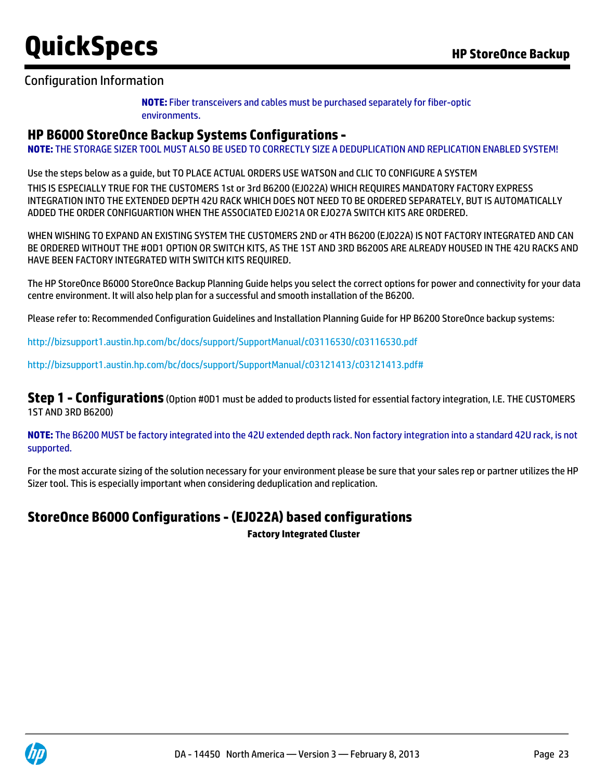### Configuration Information

**NOTE:** Fiber transceivers and cables must be purchased separately for fiber-optic environments.

### **HP B6000 StoreOnce Backup Systems Configurations -**

**NOTE:** THE STORAGE SIZER TOOL MUST ALSO BE USED TO CORRECTLY SIZE A DEDUPLICATION AND REPLICATION ENABLED SYSTEM!

Use the steps below as a guide, but TO PLACE ACTUAL ORDERS USE WATSON and CLIC TO CONFIGURE A SYSTEM

THIS IS ESPECIALLY TRUE FOR THE CUSTOMERS 1st or 3rd B6200 (EJ022A) WHICH REQUIRES MANDATORY FACTORY EXPRESS INTEGRATION INTO THE EXTENDED DEPTH 42U RACK WHICH DOES NOT NEED TO BE ORDERED SEPARATELY, BUT IS AUTOMATICALLY ADDED THE ORDER CONFIGUARTION WHEN THE ASSOCIATED EJ021A OR EJO27A SWITCH KITS ARE ORDERED.

WHEN WISHING TO EXPAND AN EXISTING SYSTEM THE CUSTOMERS 2ND or 4TH B6200 (EJ022A) IS NOT FACTORY INTEGRATED AND CAN BE ORDERED WITHOUT THE #OD1 OPTION OR SWITCH KITS, AS THE 1ST AND 3RD B6200S ARE ALREADY HOUSED IN THE 42U RACKS AND HAVE BEEN FACTORY INTEGRATED WITH SWITCH KITS REQUIRED.

The HP StoreOnce B6000 StoreOnce Backup Planning Guide helps you select the correct options for power and connectivity for your data centre environment. It will also help plan for a successful and smooth installation of the B6200.

Please refer to: Recommended Configuration Guidelines and Installation Planning Guide for HP B6200 StoreOnce backup systems:

<http://bizsupport1.austin.hp.com/bc/docs/support/SupportManual/c03116530/c03116530.pdf>

<http://bizsupport1.austin.hp.com/bc/docs/support/SupportManual/c03121413/c03121413.pdf#>

**Step 1 - Configurations** (Option #0D1 must be added to products listed for essential factory integration, I.E. THE CUSTOMERS 1ST AND 3RD B6200)

**NOTE:** The B6200 MUST be factory integrated into the 42U extended depth rack. Non factory integration into a standard 42U rack, is not supported.

For the most accurate sizing of the solution necessary for your environment please be sure that your sales rep or partner utilizes the HP Sizer tool. This is especially important when considering deduplication and replication.

### **StoreOnce B6000 Configurations - (EJ022A) based configurations**

**Factory Integrated Cluster**

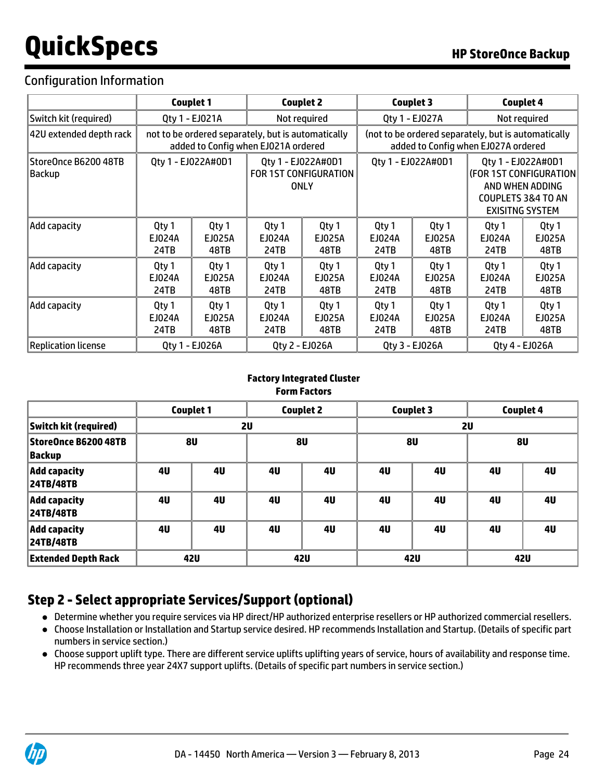## Configuration Information

|                                | Couplet 1               |                                                                                           |                         | Couplet 2                                                                                  |                         | <b>Couplet 3</b>        | <b>Couplet 4</b>        |                                                                                                      |
|--------------------------------|-------------------------|-------------------------------------------------------------------------------------------|-------------------------|--------------------------------------------------------------------------------------------|-------------------------|-------------------------|-------------------------|------------------------------------------------------------------------------------------------------|
| Switch kit (required)          | Qty 1 - EJ021A          |                                                                                           | Not required            |                                                                                            | Qty 1 - EJ027A          |                         |                         | Not required                                                                                         |
| 42U extended depth rack        |                         | not to be ordered separately, but is automatically<br>added to Config when EJ021A ordered |                         | (not to be ordered separately, but is automatically<br>added to Config when EJ027A ordered |                         |                         |                         |                                                                                                      |
| StoreOnce B6200 48TB<br>Backup |                         | Qty 1 - EJ022A#0D1                                                                        |                         | Qty 1 - EJ022A#0D1<br>FOR 1ST CONFIGURATION<br><b>ONLY</b>                                 |                         | Qty 1 - EJ022A#0D1      | Qty 1 - EJ022A#0D1      | (FOR 1ST CONFIGURATION<br>AND WHEN ADDING<br><b>COUPLETS 3&amp;4 TO AN</b><br><b>EXISITNG SYSTEM</b> |
| Add capacity                   | Qty 1<br>EJ024A<br>24TB | Qty 1<br>EJ025A<br>48TB                                                                   | Qty 1<br>EJ024A<br>24TB | Qty 1<br>EJ025A<br>48TB                                                                    | Qty 1<br>EJ024A<br>24TB | Qty 1<br>EJ025A<br>48TB | Qty 1<br>EJ024A<br>24TB | Qty 1<br>EJ025A<br>48TB                                                                              |
| Add capacity                   | Qty 1<br>EJ024A<br>24TB | Qty 1<br>EJ025A<br>48TB                                                                   | Qty 1<br>EJ024A<br>24TB | Qty 1<br>EJ025A<br>48TB                                                                    | Qty 1<br>EJ024A<br>24TB | Qty 1<br>EJ025A<br>48TB | Qty 1<br>EJ024A<br>24TB | Qty 1<br>EJ025A<br>48TB                                                                              |
| Add capacity                   | Qty 1<br>EJ024A<br>24TB | Qty 1<br>EJ025A<br>48TB                                                                   | Qty 1<br>EJ024A<br>24TB | Qty 1<br>EJ025A<br>48TB                                                                    | Qty 1<br>EJ024A<br>24TB | Qty 1<br>EJ025A<br>48TB | Qty 1<br>EJ024A<br>24TB | Qty 1<br>EJ025A<br>48TB                                                                              |
| <b>Replication license</b>     |                         | Qty 1 - EJ026A                                                                            |                         | Qty 2 - EJ026A                                                                             |                         | Qty 3 - EJ026A          |                         | Qty 4 - EJ026A                                                                                       |

### **Factory Integrated Cluster Form Factors**

|                                         |                | <b>Couplet 1</b> |    | <b>Couplet 2</b> |           | <b>Couplet 3</b> |    | <b>Couplet 4</b> |
|-----------------------------------------|----------------|------------------|----|------------------|-----------|------------------|----|------------------|
| Switch kit (required)                   | 2U             |                  |    |                  | <b>2U</b> |                  |    |                  |
| StoreOnce B6200 48TB<br> Backup         |                | <b>8U</b>        |    | 8U               |           | 8U               |    | 8U               |
| <b>Add capacity</b><br>24TB/48TB        | 4 <sub>U</sub> | 4U               | 4U | 4U               | 4U        | 4U               | 4U | 4U               |
| <b>Add capacity</b><br><b>24TB/48TB</b> | 4 <sub>U</sub> | 4U               | 4U | 4U               | 4U        | 4U               | 4U | 4U               |
| <b>Add capacity</b><br><b>24TB/48TB</b> | 4U             | 4U               | 4U | 4U               | 4U        | 4U               | 4U | 4U               |
| <b>Extended Depth Rack</b>              |                | 42U              |    | <b>42U</b>       |           | 42U              |    | 42U              |

## **Step 2 - Select appropriate Services/Support (optional)**

- Determine whether you require services via HP direct/HP authorized enterprise resellers or HP authorized commercial resellers.
- Choose Installation or Installation and Startup service desired. HP recommends Installation and Startup. (Details of specific part numbers in service section.)
- Choose support uplift type. There are different service uplifts uplifting years of service, hours of availability and response time. HP recommends three year 24X7 support uplifts. (Details of specific part numbers in service section.)

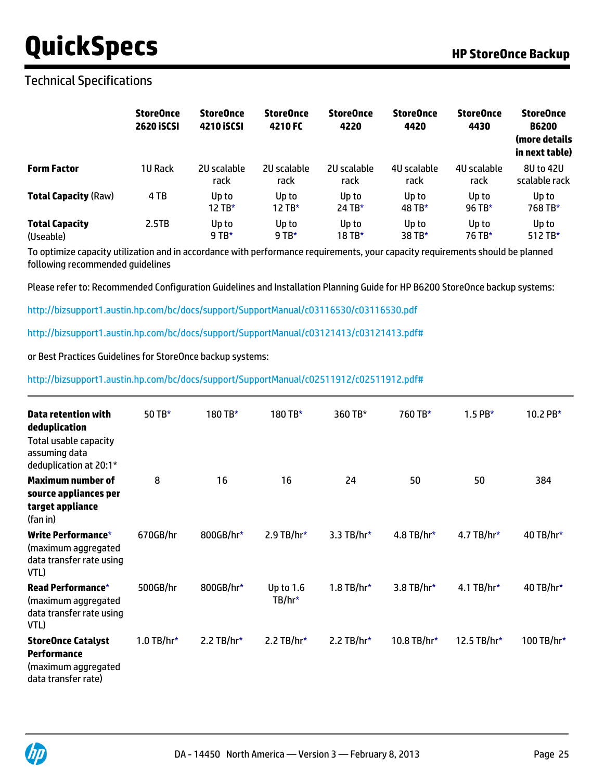### Technical Specifications

|                                    | <b>StoreOnce</b><br><b>2620 ISCSI</b> | <b>StoreOnce</b><br>4210 ISCSI | <b>StoreOnce</b><br>4210 FC | <b>StoreOnce</b><br>4220 | <b>StoreOnce</b><br>4420 | <b>StoreOnce</b><br>4430 | <b>StoreOnce</b><br><b>B6200</b><br>(more details<br>in next table) |
|------------------------------------|---------------------------------------|--------------------------------|-----------------------------|--------------------------|--------------------------|--------------------------|---------------------------------------------------------------------|
| <b>Form Factor</b>                 | <b>1U Rack</b>                        | 2U scalable<br>rack            | 2U scalable<br>rack         | 2U scalable<br>rack      | 4U scalable<br>rack      | 40 scalable<br>rack      | 8U to 42U<br>scalable rack                                          |
| <b>Total Capacity (Raw)</b>        | 4 TB                                  | Up to<br>12 TB*                | Up to<br>12 TB*             | Up to<br>24 TB*          | Up to<br>48 TB*          | Up to<br>$96$ TB*        | Up to<br>768 TB*                                                    |
| <b>Total Capacity</b><br>(Useable) | 2.5TB                                 | Up to<br>$9$ TB*               | Up to<br>9 TB*              | Up to<br>18 TB*          | Up to<br>38 TB*          | Up to<br>76 TB*          | Up to<br>512 TB*                                                    |

To optimize capacity utilization and in accordance with performance requirements, your capacity requirements should be planned following recommended guidelines

Please refer to: Recommended Configuration Guidelines and Installation Planning Guide for HP B6200 StoreOnce backup systems:

<http://bizsupport1.austin.hp.com/bc/docs/support/SupportManual/c03116530/c03116530.pdf>

<http://bizsupport1.austin.hp.com/bc/docs/support/SupportManual/c03121413/c03121413.pdf#>

or Best Practices Guidelines for StoreOnce backup systems:

<http://bizsupport1.austin.hp.com/bc/docs/support/SupportManual/c02511912/c02511912.pdf#>

| Data retention with<br>deduplication<br>Total usable capacity<br>assuming data<br>deduplication at 20:1* | 50 TB*       | 180 TB*       | 180 TB*                 | 360 TB*       | 760 TB*      | $1.5$ PB*      | 10.2 $PB*$ |
|----------------------------------------------------------------------------------------------------------|--------------|---------------|-------------------------|---------------|--------------|----------------|------------|
| <b>Maximum number of</b><br>source appliances per<br>target appliance<br>(fan in)                        | 8            | 16            | 16                      | 24            | 50           | 50             | 384        |
| Write Performance*<br>(maximum aggregated<br>data transfer rate using<br>VTL)                            | 670GB/hr     | 800GB/hr*     | 2.9 TB/hr*              | 3.3 TB/hr $*$ | $4.8$ TB/hr* | $4.7$ TB/hr*   | 40 TB/hr*  |
| <b>Read Performance*</b><br>(maximum aggregated<br>data transfer rate using<br>VTL)                      | 500GB/hr     | 800GB/hr*     | Up to $1.6$<br>$TB/hr*$ | $1.8$ TB/hr*  | $3.8$ TB/hr* | 4.1 TB/hr $*$  | 40 TB/hr*  |
| <b>StoreOnce Catalyst</b><br>Performance<br>(maximum aggregated<br>data transfer rate)                   | $1.0$ TB/hr* | 2.2 TB/hr $*$ | 2.2 TB/hr $*$           | 2.2 TB/hr $*$ | 10.8 TB/hr*  | 12.5 TB/hr $*$ | 100 TB/hr* |

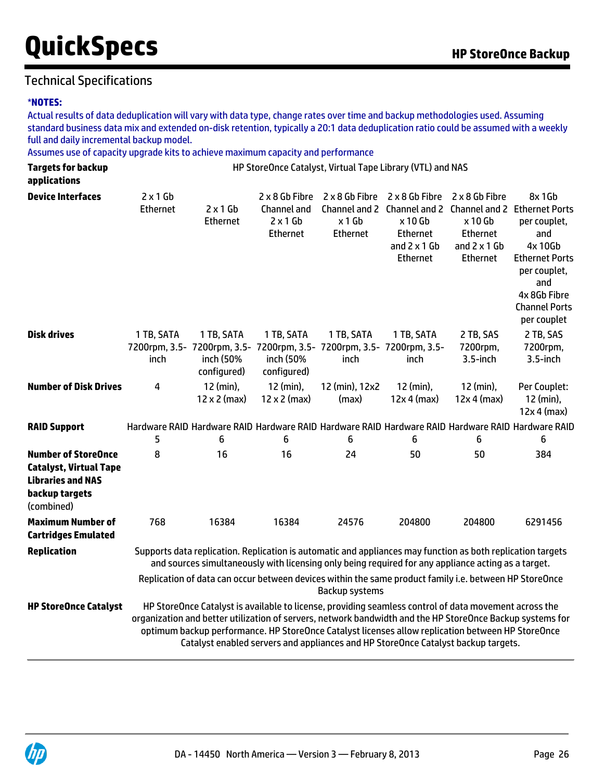## Technical Specifications

#### \***NOTES:**

Actual results of data deduplication will vary with data type, change rates over time and backup methodologies used. Assuming standard business data mix and extended on-disk retention, typically a 20:1 data deduplication ratio could be assumed with a weekly full and daily incremental backup model.

Assumes use of capacity upgrade kits to achieve maximum capacity and performance

| <b>Targets for backup</b><br>applications                                                                               |                             |                                        |                                                                                                                 |                                      | HP StoreOnce Catalyst, Virtual Tape Library (VTL) and NAS                                                                                                                                                                                                                                                                                                                                                    |                                                                                         |                                                                                                                                                 |
|-------------------------------------------------------------------------------------------------------------------------|-----------------------------|----------------------------------------|-----------------------------------------------------------------------------------------------------------------|--------------------------------------|--------------------------------------------------------------------------------------------------------------------------------------------------------------------------------------------------------------------------------------------------------------------------------------------------------------------------------------------------------------------------------------------------------------|-----------------------------------------------------------------------------------------|-------------------------------------------------------------------------------------------------------------------------------------------------|
| <b>Device Interfaces</b>                                                                                                | $2 \times 1$ Gb<br>Ethernet | $2 \times 1$ Gb<br>Ethernet            | 2 x 8 Gb Fibre<br>Channel and<br>$2 \times 1$ Gb<br>Ethernet                                                    | 2 x 8 Gb Fibre<br>x 1 Gb<br>Ethernet | Channel and 2 Channel and 2 Channel and 2 Ethernet Ports<br>x 10 Gb<br>Ethernet<br>and $2 \times 1$ Gb<br>Ethernet                                                                                                                                                                                                                                                                                           | 2 x 8 Gb Fibre 2 x 8 Gb Fibre<br>x 10 Gb<br>Ethernet<br>and $2 \times 1$ Gb<br>Ethernet | 8x 1Gb<br>per couplet,<br>and<br>4x 10Gb<br><b>Ethernet Ports</b><br>per couplet,<br>and<br>4x 8Gb Fibre<br><b>Channel Ports</b><br>per couplet |
| <b>Disk drives</b>                                                                                                      | 1 TB, SATA<br>inch          | 1 TB, SATA<br>inch (50%<br>configured) | 1 TB, SATA<br>7200rpm, 3.5- 7200rpm, 3.5- 7200rpm, 3.5- 7200rpm, 3.5- 7200rpm, 3.5-<br>inch (50%<br>configured) | 1 TB, SATA<br>inch                   | 1 TB, SATA<br>inch                                                                                                                                                                                                                                                                                                                                                                                           | 2 TB, SAS<br>7200rpm,<br>3.5-inch                                                       | 2 TB, SAS<br>7200rpm,<br>3.5-inch                                                                                                               |
| <b>Number of Disk Drives</b>                                                                                            | 4                           | 12 (min),<br>$12 \times 2$ (max)       | 12 (min),<br>$12 \times 2$ (max)                                                                                | 12 (min), 12x2<br>(max)              | 12 (min),<br>$12x 4$ (max)                                                                                                                                                                                                                                                                                                                                                                                   | 12 (min),<br>$12x 4$ (max)                                                              | Per Couplet:<br>12 (min),<br>$12x 4$ (max)                                                                                                      |
| <b>RAID Support</b>                                                                                                     | 5                           | 6                                      | 6                                                                                                               | 6                                    | Hardware RAID Hardware RAID Hardware RAID Hardware RAID Hardware RAID Hardware RAID Hardware RAID<br>6                                                                                                                                                                                                                                                                                                       | 6                                                                                       | 6                                                                                                                                               |
| <b>Number of StoreOnce</b><br><b>Catalyst, Virtual Tape</b><br><b>Libraries and NAS</b><br>backup targets<br>(combined) | 8                           | 16                                     | 16                                                                                                              | 24                                   | 50                                                                                                                                                                                                                                                                                                                                                                                                           | 50                                                                                      | 384                                                                                                                                             |
| <b>Maximum Number of</b><br><b>Cartridges Emulated</b>                                                                  | 768                         | 16384                                  | 16384                                                                                                           | 24576                                | 204800                                                                                                                                                                                                                                                                                                                                                                                                       | 204800                                                                                  | 6291456                                                                                                                                         |
| <b>Replication</b>                                                                                                      |                             |                                        |                                                                                                                 |                                      | Supports data replication. Replication is automatic and appliances may function as both replication targets<br>and sources simultaneously with licensing only being required for any appliance acting as a target.                                                                                                                                                                                           |                                                                                         |                                                                                                                                                 |
|                                                                                                                         |                             |                                        |                                                                                                                 | Backup systems                       | Replication of data can occur between devices within the same product family i.e. between HP StoreOnce                                                                                                                                                                                                                                                                                                       |                                                                                         |                                                                                                                                                 |
| <b>HP StoreOnce Catalyst</b>                                                                                            |                             |                                        |                                                                                                                 |                                      | HP StoreOnce Catalyst is available to license, providing seamless control of data movement across the<br>organization and better utilization of servers, network bandwidth and the HP StoreOnce Backup systems for<br>optimum backup performance. HP StoreOnce Catalyst licenses allow replication between HP StoreOnce<br>Catalyst enabled servers and appliances and HP StoreOnce Catalyst backup targets. |                                                                                         |                                                                                                                                                 |

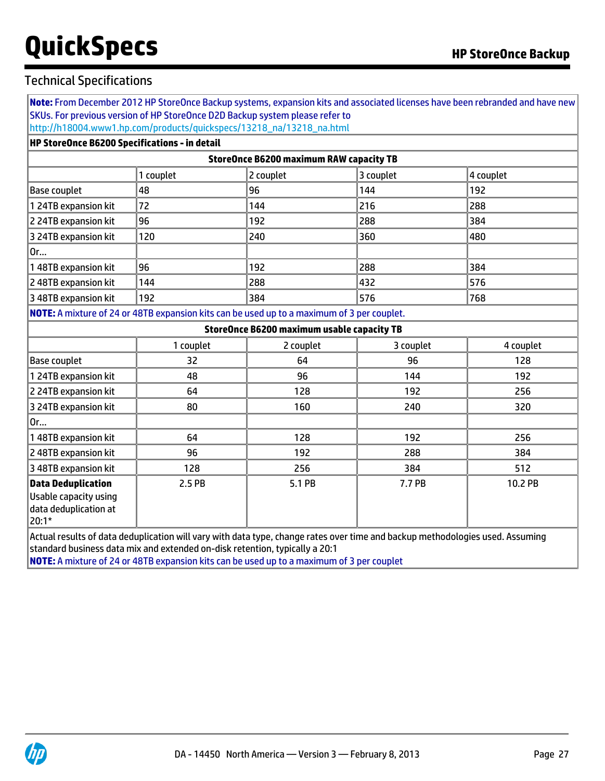### Technical Specifications

**Note:** From December 2012 HP StoreOnce Backup systems, expansion kits and associated licenses have been rebranded and have new SKUs. For previous version of HP StoreOnce D2D Backup system please refer to [http://h18004.www1.hp.com/products/quickspecs/13218\\_na/13218\\_na.html](http://h18004.www1.hp.com/products/quickspecs/13218_na/13218_na.html)

#### **HP StoreOnce B6200 Specifications - in detail**

| StoreOnce B6200 maximum RAW capacity TB |           |           |           |           |  |  |  |  |
|-----------------------------------------|-----------|-----------|-----------|-----------|--|--|--|--|
|                                         | 1 couplet | 2 couplet | 3 couplet | 4 couplet |  |  |  |  |
| Base couplet                            | 48        | 96        | 144       | 192       |  |  |  |  |
| 1 24TB expansion kit                    | 72        | 144       | 216       | 288       |  |  |  |  |
| 2 24TB expansion kit                    | 196       | 192       | 288       | 1384      |  |  |  |  |
| 3 24TB expansion kit                    | 120       | 240       | 360       | 480       |  |  |  |  |
| 0r                                      |           |           |           |           |  |  |  |  |
| 148TB expansion kit                     | 96        | 192       | 288       | 1384      |  |  |  |  |
| 2 48TB expansion kit                    | 144       | 288       | 432       | 576       |  |  |  |  |
| 3 48TB expansion kit                    | 192       | 384       | 576       | 1768      |  |  |  |  |
|                                         |           |           |           |           |  |  |  |  |

**NOTE:** A mixture of 24 or 48TB expansion kits can be used up to a maximum of 3 per couplet.

| <b>StoreOnce B6200 maximum usable capacity TB</b>                                     |           |           |           |           |  |  |  |  |
|---------------------------------------------------------------------------------------|-----------|-----------|-----------|-----------|--|--|--|--|
|                                                                                       | 1 couplet | 2 couplet | 3 couplet | 4 couplet |  |  |  |  |
| <b>Base couplet</b>                                                                   | 32        | 64        | 96        | 128       |  |  |  |  |
| 1 24TB expansion kit                                                                  | 48        | 96        | 144       | 192       |  |  |  |  |
| 2 24TB expansion kit                                                                  | 64        | 128       | 192       | 256       |  |  |  |  |
| 3 24TB expansion kit                                                                  | 80        | 160       | 240       | 320       |  |  |  |  |
| $ 0$ r                                                                                |           |           |           |           |  |  |  |  |
| 148TB expansion kit                                                                   | 64        | 128       | 192       | 256       |  |  |  |  |
| 2 48TB expansion kit                                                                  | 96        | 192       | 288       | 384       |  |  |  |  |
| 3 48TB expansion kit                                                                  | 128       | 256       | 384       | 512       |  |  |  |  |
| <b>Data Deduplication</b><br>Usable capacity using<br>data deduplication at<br> 20:1* | 2.5 PB    | 5.1 PB    | 7.7 PB    | 10.2 PB   |  |  |  |  |

Actual results of data deduplication will vary with data type, change rates over time and backup methodologies used. Assuming standard business data mix and extended on-disk retention, typically a 20:1

**NOTE:** A mixture of 24 or 48TB expansion kits can be used up to a maximum of 3 per couplet

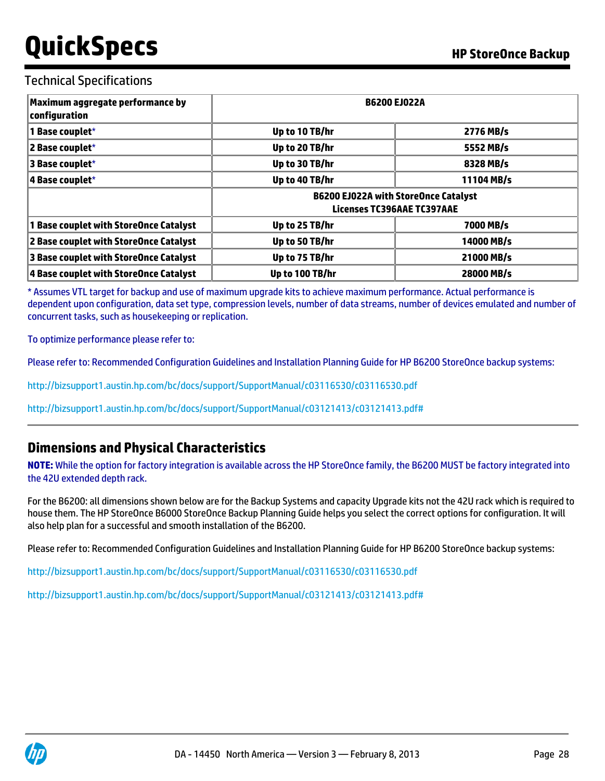### Technical Specifications

| Maximum aggregate performance by<br>configuration | <b>B6200 EJ022A</b>          |                                                                           |  |  |  |
|---------------------------------------------------|------------------------------|---------------------------------------------------------------------------|--|--|--|
| 1 Base couplet*                                   | Up to 10 TB/hr               | 2776 MB/s                                                                 |  |  |  |
| 2 Base couplet*                                   | Up to 20 TB/hr               | 5552 MB/s                                                                 |  |  |  |
| 3 Base couplet*                                   | Up to 30 TB/hr               | 8328 MB/s                                                                 |  |  |  |
| 4 Base couplet*                                   | 11104 MB/s<br>Up to 40 TB/hr |                                                                           |  |  |  |
|                                                   |                              | <b>B6200 EJ022A with StoreOnce Catalyst</b><br>Licenses TC396AAE TC397AAE |  |  |  |
| 1 Base couplet with StoreOnce Catalyst            | Up to 25 TB/hr               | 7000 MB/s                                                                 |  |  |  |
| 2 Base couplet with StoreOnce Catalyst            | Up to 50 TB/hr               | 14000 MB/s                                                                |  |  |  |
| 3 Base couplet with StoreOnce Catalyst            | Up to 75 TB/hr               | 21000 MB/s                                                                |  |  |  |
| 4 Base couplet with StoreOnce Catalyst            | Up to 100 TB/hr              | 28000 MB/s                                                                |  |  |  |

\* Assumes VTL target for backup and use of maximum upgrade kits to achieve maximum performance. Actual performance is dependent upon configuration, data set type, compression levels, number of data streams, number of devices emulated and number of concurrent tasks, such as housekeeping or replication.

To optimize performance please refer to:

Please refer to: Recommended Configuration Guidelines and Installation Planning Guide for HP B6200 StoreOnce backup systems:

<http://bizsupport1.austin.hp.com/bc/docs/support/SupportManual/c03116530/c03116530.pdf>

<http://bizsupport1.austin.hp.com/bc/docs/support/SupportManual/c03121413/c03121413.pdf#>

### **Dimensions and Physical Characteristics**

**NOTE:** While the option for factory integration is available across the HP StoreOnce family, the B6200 MUST be factory integrated into the 42U extended depth rack.

For the B6200: all dimensions shown below are for the Backup Systems and capacity Upgrade kits not the 42U rack which is required to house them. The HP StoreOnce B6000 StoreOnce Backup Planning Guide helps you select the correct options for configuration. It will also help plan for a successful and smooth installation of the B6200.

Please refer to: Recommended Configuration Guidelines and Installation Planning Guide for HP B6200 StoreOnce backup systems:

<http://bizsupport1.austin.hp.com/bc/docs/support/SupportManual/c03116530/c03116530.pdf>

<http://bizsupport1.austin.hp.com/bc/docs/support/SupportManual/c03121413/c03121413.pdf#>

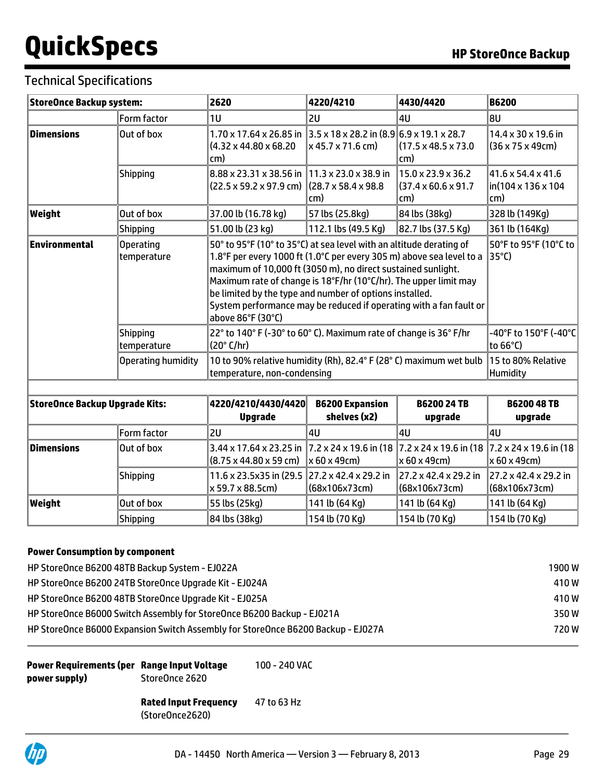## Technical Specifications

| <b>StoreOnce Backup system:</b>       |                                                                                                                   | 2620                                                                                                                                                                                                                                                                                                                                                                                                                                  | 4220/4210                              | 4430/4420                                                                | <b>B6200</b>                                         |
|---------------------------------------|-------------------------------------------------------------------------------------------------------------------|---------------------------------------------------------------------------------------------------------------------------------------------------------------------------------------------------------------------------------------------------------------------------------------------------------------------------------------------------------------------------------------------------------------------------------------|----------------------------------------|--------------------------------------------------------------------------|------------------------------------------------------|
|                                       | Form factor                                                                                                       | 1U                                                                                                                                                                                                                                                                                                                                                                                                                                    | 2U                                     | 4U                                                                       | 8U                                                   |
| <b>Dimensions</b><br>Out of box       |                                                                                                                   | $1.70 \times 17.64 \times 26.85$ in $\sqrt{3.5} \times 18 \times 28.2$ in $\sqrt{8.9}$ 6.9 x 19.1 x 28.7<br>$(4.32 \times 44.80 \times 68.20)$<br>cm)                                                                                                                                                                                                                                                                                 | $\vert$ x 45.7 x 71.6 cm)              | (17.5 x 48.5 x 73.0<br>cm)                                               | 14.4 x 30 x 19.6 in<br>$(36 \times 75 \times 49$ cm) |
|                                       | <b>Shipping</b>                                                                                                   | 8.88 x 23.31 x 38.56 in 11.3 x 23.0 x 38.9 in<br>$(22.5 \times 59.2 \times 97.9 \text{ cm})$ (28.7 x 58.4 x 98.8)                                                                                                                                                                                                                                                                                                                     | cm)                                    | $15.0 \times 23.9 \times 36.2$<br>$(37.4 \times 60.6 \times 91.7$<br>cm) | 41.6 x 54.4 x 41.6<br>lin(104 x 136 x 104<br>cm)     |
| Weight                                | Out of box                                                                                                        | 37.00 lb (16.78 kg)                                                                                                                                                                                                                                                                                                                                                                                                                   | 57 lbs (25.8kg)                        | 84 lbs (38kg)                                                            | 328 lb (149Kg)                                       |
|                                       | <b>Shipping</b>                                                                                                   | 51.00 lb (23 kg)                                                                                                                                                                                                                                                                                                                                                                                                                      | 112.1 lbs (49.5 Kg)                    | 82.7 lbs (37.5 Kg)                                                       | 361 lb (164Kg)                                       |
| Environmental                         | <b>Operating</b><br>temperature                                                                                   | 50° to 95°F (10° to 35°C) at sea level with an altitude derating of<br>1.8°F per every 1000 ft (1.0°C per every 305 m) above sea level to a<br>maximum of 10,000 ft (3050 m), no direct sustained sunlight.<br>Maximum rate of change is 18°F/hr (10°C/hr). The upper limit may<br>be limited by the type and number of options installed.<br>System performance may be reduced if operating with a fan fault or<br>above 86°F (30°C) | 50°F to 95°F (10°C to<br> 35°C)        |                                                                          |                                                      |
|                                       | 22° to 140° F (-30° to 60° C). Maximum rate of change is 36° F/hr<br><b>Shipping</b><br>(20° C/hr)<br>temperature |                                                                                                                                                                                                                                                                                                                                                                                                                                       |                                        |                                                                          |                                                      |
|                                       | Operating humidity                                                                                                | 10 to 90% relative humidity (Rh), 82.4° F (28° C) maximum wet bulb<br>temperature, non-condensing                                                                                                                                                                                                                                                                                                                                     | 15 to 80% Relative<br>Humidity         |                                                                          |                                                      |
|                                       |                                                                                                                   |                                                                                                                                                                                                                                                                                                                                                                                                                                       |                                        |                                                                          |                                                      |
| <b>StoreOnce Backup Upgrade Kits:</b> |                                                                                                                   | 4220/4210/4430/4420<br><b>Upgrade</b>                                                                                                                                                                                                                                                                                                                                                                                                 | <b>B6200 Expansion</b><br>shelves (x2) | <b>B6200 24 TB</b><br>upgrade                                            | <b>B6200 48 TB</b><br>upgrade                        |
|                                       | Form factor                                                                                                       | 2U                                                                                                                                                                                                                                                                                                                                                                                                                                    | AU                                     | 4U                                                                       | AU                                                   |

|            | Form factor | 2U                                                                                                                                                                           | l4U            | l4U                                                  | 14U                                                  |
|------------|-------------|------------------------------------------------------------------------------------------------------------------------------------------------------------------------------|----------------|------------------------------------------------------|------------------------------------------------------|
| Dimensions | Out of box  | 3.44 x 17.64 x 23.25 in 7.2 x 24 x 19.6 in (18 7.2 x 24 x 19.6 in (18 7.2 x 24 x 19.6 in (18<br>$ (8.75 \times 44.80 \times 59 \text{ cm})  \times 60 \times 49 \text{ cm} $ |                | x 60 x 49cm) ≀                                       | $\vert$ x 60 x 49cm)                                 |
|            | Shipping    | 11.6 x 23.5x35 in (29.5 27.2 x 42.4 x 29.2 in<br>x 59.7 x 88.5cm)                                                                                                            | (68x106x73cm)  | $ 27.2 \times 42.4 \times 29.2 $ in<br>(68x106x73cm) | $ 27.2 \times 42.4 \times 29.2 $ in<br>(68x106x73cm) |
| Weight     | Out of box  | 55 lbs (25kg)                                                                                                                                                                | 141 lb (64 Kg) | 141 lb (64 Kg)                                       | 141 lb (64 Kg)                                       |
|            | Shipping    | 84 lbs (38kg)                                                                                                                                                                | 154 lb (70 Kg) | 154 lb (70 Kg)                                       | 154 lb (70 Kg)                                       |

### **Power Consumption by component**

| HP StoreOnce B6200 48TB Backup System - EJ022A                                   | 1900 W |
|----------------------------------------------------------------------------------|--------|
| HP StoreOnce B6200 24TB StoreOnce Upgrade Kit - EJ024A                           | 410W   |
| HP StoreOnce B6200 48TB StoreOnce Upgrade Kit - EJ025A                           | 410W   |
| HP StoreOnce B6000 Switch Assembly for StoreOnce B6200 Backup - EJ021A           | 350W   |
| HP StoreOnce B6000 Expansion Switch Assembly for StoreOnce B6200 Backup - EJ027A | 720 W  |

**Power Requirements (per Range Input Voltage power supply)** StoreOnce 2620

100 - 240 VAC

**Rated Input Frequency** 47 to 63 Hz

(StoreOnce2620)

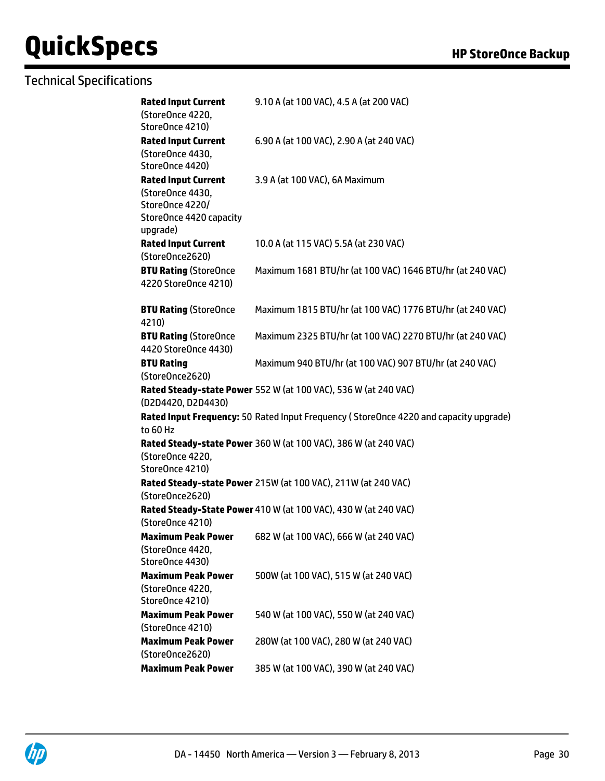## Technical Specifications

| <b>Rated Input Current</b><br>(StoreOnce 4220,                                                           | 9.10 A (at 100 VAC), 4.5 A (at 200 VAC)                                               |
|----------------------------------------------------------------------------------------------------------|---------------------------------------------------------------------------------------|
| StoreOnce 4210)                                                                                          |                                                                                       |
| <b>Rated Input Current</b><br>(StoreOnce 4430,<br>StoreOnce 4420)                                        | 6.90 A (at 100 VAC), 2.90 A (at 240 VAC)                                              |
| <b>Rated Input Current</b><br>(StoreOnce 4430,<br>StoreOnce 4220/<br>StoreOnce 4420 capacity<br>upgrade) | 3.9 A (at 100 VAC), 6A Maximum                                                        |
| <b>Rated Input Current</b><br>(StoreOnce2620)                                                            | 10.0 A (at 115 VAC) 5.5A (at 230 VAC)                                                 |
| <b>BTU Rating (StoreOnce</b><br>4220 StoreOnce 4210)                                                     | Maximum 1681 BTU/hr (at 100 VAC) 1646 BTU/hr (at 240 VAC)                             |
| <b>BTU Rating (StoreOnce</b><br>4210)                                                                    | Maximum 1815 BTU/hr (at 100 VAC) 1776 BTU/hr (at 240 VAC)                             |
| <b>BTU Rating (StoreOnce</b><br>4420 StoreOnce 4430)                                                     | Maximum 2325 BTU/hr (at 100 VAC) 2270 BTU/hr (at 240 VAC)                             |
| <b>BTU Rating</b><br>(StoreOnce2620)                                                                     | Maximum 940 BTU/hr (at 100 VAC) 907 BTU/hr (at 240 VAC)                               |
| (D2D4420, D2D4430)                                                                                       | Rated Steady-state Power 552 W (at 100 VAC), 536 W (at 240 VAC)                       |
| to 60 Hz                                                                                                 | Rated Input Frequency: 50 Rated Input Frequency (StoreOnce 4220 and capacity upgrade) |
| (StoreOnce 4220,<br>StoreOnce 4210)                                                                      | Rated Steady-state Power 360 W (at 100 VAC), 386 W (at 240 VAC)                       |
| (StoreOnce2620)                                                                                          | Rated Steady-state Power 215W (at 100 VAC), 211W (at 240 VAC)                         |
| (StoreOnce 4210)                                                                                         | Rated Steady-State Power 410 W (at 100 VAC), 430 W (at 240 VAC)                       |
| <b>Maximum Peak Power</b><br>(StoreOnce 4420,<br>StoreOnce 4430)                                         | 682 W (at 100 VAC), 666 W (at 240 VAC)                                                |
| <b>Maximum Peak Power</b><br>(StoreOnce 4220,<br>StoreOnce 4210)                                         | 500W (at 100 VAC), 515 W (at 240 VAC)                                                 |
| <b>Maximum Peak Power</b><br>(StoreOnce 4210)                                                            | 540 W (at 100 VAC), 550 W (at 240 VAC)                                                |
| <b>Maximum Peak Power</b><br>(StoreOnce2620)                                                             | 280W (at 100 VAC), 280 W (at 240 VAC)                                                 |
| <b>Maximum Peak Power</b>                                                                                | 385 W (at 100 VAC), 390 W (at 240 VAC)                                                |